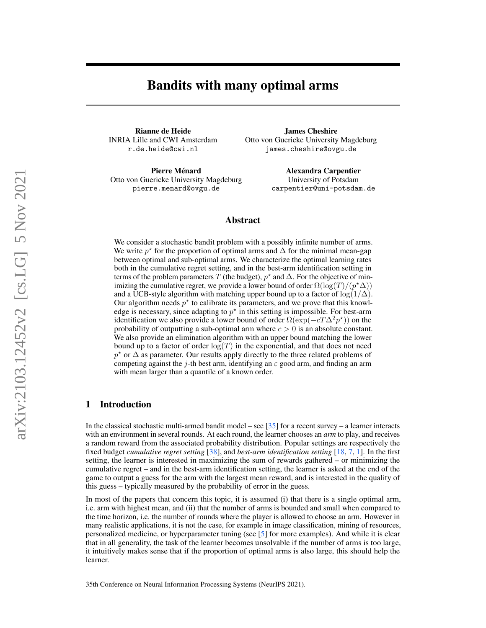# Bandits with many optimal arms

Rianne de Heide INRIA Lille and CWI Amsterdam r.de.heide@cwi.nl

Pierre Ménard Otto von Guericke University Magdeburg pierre.menard@ovgu.de

James Cheshire Otto von Guericke University Magdeburg james.cheshire@ovgu.de

> Alexandra Carpentier University of Potsdam carpentier@uni-potsdam.de

# Abstract

We consider a stochastic bandit problem with a possibly infinite number of arms. We write  $p^*$  for the proportion of optimal arms and  $\Delta$  for the minimal mean-gap between optimal and sub-optimal arms. We characterize the optimal learning rates both in the cumulative regret setting, and in the best-arm identification setting in terms of the problem parameters T (the budget),  $p^*$  and  $\Delta$ . For the objective of minimizing the cumulative regret, we provide a lower bound of order  $\Omega(\log(T)/(p^{\star}\Delta))$ and a UCB-style algorithm with matching upper bound up to a factor of  $\log(1/\Delta)$ . Our algorithm needs  $p^*$  to calibrate its parameters, and we prove that this knowledge is necessary, since adapting to  $p^*$  in this setting is impossible. For best-arm identification we also provide a lower bound of order  $\Omega(\exp(-cT\Delta^2 p^*))$  on the probability of outputting a sub-optimal arm where  $c > 0$  is an absolute constant. We also provide an elimination algorithm with an upper bound matching the lower bound up to a factor of order  $log(T)$  in the exponential, and that does not need  $p^*$  or  $\Delta$  as parameter. Our results apply directly to the three related problems of competing against the j-th best arm, identifying an  $\varepsilon$  good arm, and finding an arm with mean larger than a quantile of a known order.

# 1 Introduction

In the classical stochastic multi-armed bandit model – see [\[35\]](#page-11-0) for a recent survey – a learner interacts with an environment in several rounds. At each round, the learner chooses an *arm* to play, and receives a random reward from the associated probability distribution. Popular settings are respectively the fixed budget *cumulative regret setting* [\[38\]](#page-11-1), and *best-arm identification setting* [\[18,](#page-10-0) [7,](#page-9-0) [1\]](#page-9-1). In the first setting, the learner is interested in maximizing the sum of rewards gathered – or minimizing the cumulative regret – and in the best-arm identification setting, the learner is asked at the end of the game to output a guess for the arm with the largest mean reward, and is interested in the quality of this guess – typically measured by the probability of error in the guess.

In most of the papers that concern this topic, it is assumed (i) that there is a single optimal arm, i.e. arm with highest mean, and (ii) that the number of arms is bounded and small when compared to the time horizon, i.e. the number of rounds where the player is allowed to choose an arm. However in many realistic applications, it is not the case, for example in image classification, mining of resources, personalized medicine, or hyperparameter tuning (see [\[5\]](#page-9-2) for more examples). And while it is clear that in all generality, the task of the learner becomes unsolvable if the number of arms is too large, it intuitively makes sense that if the proportion of optimal arms is also large, this should help the learner.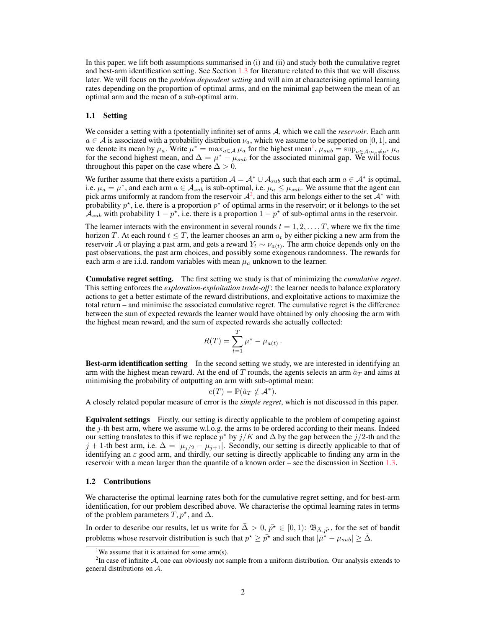In this paper, we lift both assumptions summarised in (i) and (ii) and study both the cumulative regret and best-arm identification setting. See Section [1.3](#page-3-0) for literature related to this that we will discuss later. We will focus on the *problem dependent setting* and will aim at characterising optimal learning rates depending on the proportion of optimal arms, and on the minimal gap between the mean of an optimal arm and the mean of a sub-optimal arm.

#### 1.1 Setting

We consider a setting with a (potentially infinite) set of arms A, which we call the *reservoir*. Each arm  $a \in A$  is associated with a probability distribution  $\nu_a$ , which we assume to be supported on [0, 1], and we denote its mean by  $\mu_a$ . Write  $\mu^* = \max_{a \in \mathcal{A}} \mu_a$  for the highest mean<sup>[1](#page-1-0)</sup>,  $\mu_{sub} = \sup_{a \in \mathcal{A}: \mu_a \neq \mu^*} \mu_a$ for the second highest mean, and  $\Delta = \mu^* - \mu_{sub}$  for the associated minimal gap. We will focus throughout this paper on the case where  $\Delta > 0$ .

We further assume that there exists a partition  $A = A^* \cup A_{sub}$  such that each arm  $a \in A^*$  is optimal, i.e.  $\mu_a = \mu^*$ , and each arm  $a \in A_{sub}$  is sub-optimal, i.e.  $\mu_a \le \mu_{sub}$ . We assume that the agent can pick arms uniformly at random from the reservoir  $A^2$  $A^2$ , and this arm belongs either to the set  $A^*$  with probability  $p^*$ , i.e. there is a proportion  $p^*$  of optimal arms in the reservoir; or it belongs to the set  $\mathcal{A}_{sub}$  with probability  $1 - p^*$ , i.e. there is a proportion  $1 - p^*$  of sub-optimal arms in the reservoir.

The learner interacts with the environment in several rounds  $t = 1, 2, \dots, T$ , where we fix the time horizon T. At each round  $t \leq T$ , the learner chooses an arm  $a_t$  by either picking a new arm from the reservoir A or playing a past arm, and gets a reward  $Y_t \sim \nu_{a(t)}$ . The arm choice depends only on the past observations, the past arm choices, and possibly some exogenous randomness. The rewards for each arm a are i.i.d. random variables with mean  $\mu_a$  unknown to the learner.

Cumulative regret setting. The first setting we study is that of minimizing the *cumulative regret*. This setting enforces the *exploration-exploitation trade-off* : the learner needs to balance exploratory actions to get a better estimate of the reward distributions, and exploitative actions to maximize the total return – and minimise the associated cumulative regret. The cumulative regret is the difference between the sum of expected rewards the learner would have obtained by only choosing the arm with the highest mean reward, and the sum of expected rewards she actually collected:

$$
R(T) = \sum_{t=1}^{T} \mu^* - \mu_{a(t)}.
$$

Best-arm identification setting In the second setting we study, we are interested in identifying an arm with the highest mean reward. At the end of T rounds, the agents selects an arm  $\hat{a}_T$  and aims at minimising the probability of outputting an arm with sub-optimal mean:

$$
e(T) = \mathbb{P}(\hat{a}_T \notin \mathcal{A}^*).
$$

A closely related popular measure of error is the *simple regret*, which is not discussed in this paper.

Equivalent settings Firstly, our setting is directly applicable to the problem of competing against the  $j$ -th best arm, where we assume w.l.o.g. the arms to be ordered according to their means. Indeed our setting translates to this if we replace  $p^*$  by  $j/K$  and  $\Delta$  by the gap between the  $j/2$ -th and the j + 1-th best arm, i.e.  $\Delta = |\mu_{j/2} - \mu_{j+1}|$ . Secondly, our setting is directly applicable to that of identifying an  $\varepsilon$  good arm, and thirdly, our setting is directly applicable to finding any arm in the reservoir with a mean larger than the quantile of a known order – see the discussion in Section [1.3.](#page-3-0)

#### 1.2 Contributions

We characterise the optimal learning rates both for the cumulative regret setting, and for best-arm identification, for our problem described above. We characterise the optimal learning rates in terms of the problem parameters  $T, p^*$ , and  $\Delta$ .

In order to describe our results, let us write for  $\bar{\Delta}>0$ ,  $\bar{p}^* \in [0,1)$ :  $\mathfrak{B}_{\bar{\Delta},\bar{p}^*}$ , for the set of bandit problems whose reservoir distribution is such that  $p^* \geq \bar{p^*}$  and such that  $|\bar{\mu}^* - \mu_{sub}| \geq \bar{\Delta}$ .

<span id="page-1-1"></span><span id="page-1-0"></span><sup>&</sup>lt;sup>1</sup>We assume that it is attained for some arm(s).

 ${}^{2}$ In case of infinite  $A$ , one can obviously not sample from a uniform distribution. Our analysis extends to general distributions on A.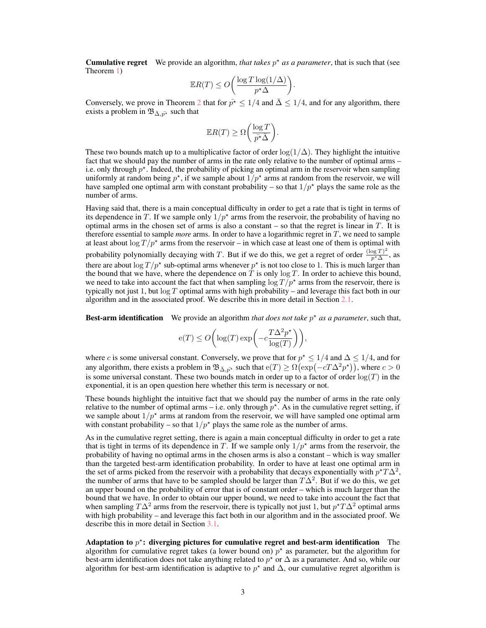**Cumulative regret** We provide an algorithm, *that takes*  $p^*$  *as a parameter*, that is such that (see Theorem [1\)](#page-6-0)

$$
\mathbb{E}R(T) \le O\bigg(\frac{\log T \log(1/\Delta)}{p^{\star} \Delta}\bigg).
$$

Conversely, we prove in Theorem [2](#page-6-1) that for  $\bar{p}^* \leq 1/4$  and  $\bar{\Delta} \leq 1/4$ , and for any algorithm, there exists a problem in  $\mathfrak{B}_{\bar{\Delta}, p^*}$  such that

$$
\mathbb{E}R(T) \ge \Omega\bigg(\frac{\log T}{\bar{p^*}\bar{\Delta}}\bigg).
$$

These two bounds match up to a multiplicative factor of order  $\log(1/\Delta)$ . They highlight the intuitive fact that we should pay the number of arms in the rate only relative to the number of optimal arms – i.e. only through  $p^*$ . Indeed, the probability of picking an optimal arm in the reservoir when sampling uniformly at random being  $p^*$ , if we sample about  $1/p^*$  arms at random from the reservoir, we will have sampled one optimal arm with constant probability – so that  $1/p^*$  plays the same role as the number of arms.

Having said that, there is a main conceptual difficulty in order to get a rate that is tight in terms of its dependence in T. If we sample only  $1/p^*$  arms from the reservoir, the probability of having no optimal arms in the chosen set of arms is also a constant  $-$  so that the regret is linear in  $T$ . It is therefore essential to sample *more* arms. In order to have a logarithmic regret in T, we need to sample at least about  $\log T/p^*$  arms from the reservoir – in which case at least one of them is optimal with probability polynomially decaying with T. But if we do this, we get a regret of order  $\frac{(\log T)^2}{n^* \Delta}$  $\frac{\log I}{p^* \Delta}$ , as there are about  $\log T/p^*$  sub-optimal arms whenever  $p^*$  is not too close to 1. This is much larger than the bound that we have, where the dependence on T is only  $\log T$ . In order to achieve this bound, we need to take into account the fact that when sampling  $\log T/p^*$  arms from the reservoir, there is typically not just 1, but  $\log T$  optimal arms with high probability – and leverage this fact both in our algorithm and in the associated proof. We describe this in more detail in Section [2.1.](#page-5-0)

**Best-arm identification** We provide an algorithm *that does not take*  $p^*$  *as a parameter*, such that,

$$
\mathrm{e}(T) \leq O\bigg(\log(T)\exp\bigg(-c\frac{T\Delta^2p^\star}{\log(T)}\bigg)\bigg),
$$

where c is some universal constant. Conversely, we prove that for  $p^* \leq 1/4$  and  $\Delta \leq 1/4$ , and for any algorithm, there exists a problem in  $\mathfrak{B}_{\bar{\Delta}, p^*}$  such that  $e(T) \ge \Omega(\exp(-cT\Delta^2 p^*))$ , where  $c > 0$ is some universal constant. These two bounds match in order up to a factor of order  $log(T)$  in the exponential, it is an open question here whether this term is necessary or not.

These bounds highlight the intuitive fact that we should pay the number of arms in the rate only relative to the number of optimal arms – i.e. only through  $p^*$ . As in the cumulative regret setting, if we sample about  $1/p^*$  arms at random from the reservoir, we will have sampled one optimal arm with constant probability – so that  $1/p^*$  plays the same role as the number of arms.

As in the cumulative regret setting, there is again a main conceptual difficulty in order to get a rate that is tight in terms of its dependence in T. If we sample only  $1/p^*$  arms from the reservoir, the probability of having no optimal arms in the chosen arms is also a constant – which is way smaller than the targeted best-arm identification probability. In order to have at least one optimal arm in the set of arms picked from the reservoir with a probability that decays exponentially with  $p^{\star}T\Delta^2$ , the number of arms that have to be sampled should be larger than  $T\Delta^2$ . But if we do this, we get an upper bound on the probability of error that is of constant order – which is much larger than the bound that we have. In order to obtain our upper bound, we need to take into account the fact that when sampling  $T\Delta^2$  arms from the reservoir, there is typically not just 1, but  $p^{\star}T\Delta^2$  optimal arms with high probability – and leverage this fact both in our algorithm and in the associated proof. We describe this in more detail in Section [3.1.](#page-7-0)

Adaptation to  $p^*$ : diverging pictures for cumulative regret and best-arm identification The algorithm for cumulative regret takes (a lower bound on)  $p^*$  as parameter, but the algorithm for best-arm identification does not take anything related to  $p^*$  or  $\Delta$  as a parameter. And so, while our algorithm for best-arm identification is adaptive to  $p^*$  and  $\Delta$ , our cumulative regret algorithm is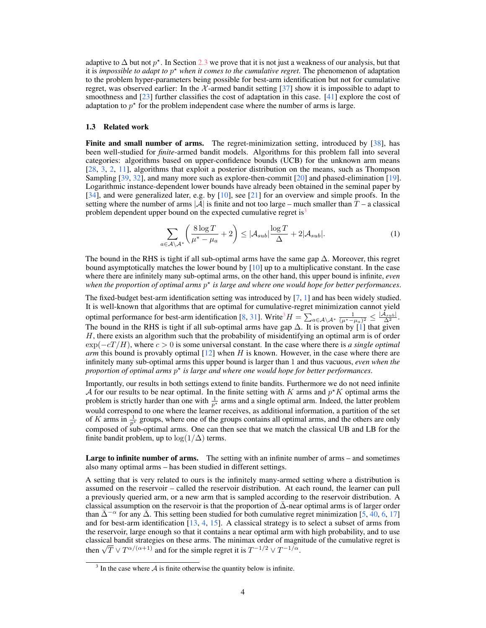adaptive to  $\Delta$  but not  $p^*$ . In Section [2.3](#page-6-2) we prove that it is not just a weakness of our analysis, but that it is *impossible to adapt to* p ? *when it comes to the cumulative regret*. The phenomenon of adaptation to the problem hyper-parameters being possible for best-arm identification but not for cumulative regret, was observed earlier: In the  $\chi$ -armed bandit setting [\[37\]](#page-11-2) show it is impossible to adapt to smoothness and  $[23]$  further classifies the cost of adaptation in this case.  $[41]$  explore the cost of adaptation to  $p^*$  for the problem independent case where the number of arms is large.

#### <span id="page-3-0"></span>1.3 Related work

Finite and small number of arms. The regret-minimization setting, introduced by [\[38\]](#page-11-1), has been well-studied for *finite*-armed bandit models. Algorithms for this problem fall into several categories: algorithms based on upper-confidence bounds (UCB) for the unknown arm means [\[28,](#page-10-2) [3,](#page-9-3) [2,](#page-9-4) [11\]](#page-9-5), algorithms that exploit a posterior distribution on the means, such as Thompson Sampling [\[39,](#page-11-4) [32\]](#page-10-3), and many more such as explore-then-commit [\[20\]](#page-10-4) and phased-elimination [\[19\]](#page-10-5). Logarithmic instance-dependent lower bounds have already been obtained in the seminal paper by [\[34\]](#page-10-6), and were generalized later, e.g. by [\[10\]](#page-9-6), see [\[21\]](#page-10-7) for an overview and simple proofs. In the setting where the number of arms  $|\mathcal{A}|$  is finite and not too large – much smaller than  $T$  – a classical problem dependent upper bound on the expected cumulative regret is<sup>[3](#page-3-1)</sup>

$$
\sum_{a \in \mathcal{A}\setminus\mathcal{A}^*} \left(\frac{8\log T}{\mu^* - \mu_a} + 2\right) \le |\mathcal{A}_{sub}| \frac{\log T}{\Delta} + 2|\mathcal{A}_{sub}|.
$$
 (1)

The bound in the RHS is tight if all sub-optimal arms have the same gap  $\Delta$ . Moreover, this regret bound asymptotically matches the lower bound by  $[10]$  up to a multiplicative constant. In the case where there are infinitely many sub-optimal arms, on the other hand, this upper bound is infinite, *even* when the proportion of optimal arms  $p^*$  is large and where one would hope for better performances.

The fixed-budget best-arm identification setting was introduced by [\[7,](#page-9-0) [1\]](#page-9-1) and has been widely studied. It is well-known that algorithms that are optimal for cumulative-regret minimization cannot yield optimal performance for best-arm identification [\[8,](#page-9-7) [31\]](#page-10-8). Write<sup>[3](#page-3-1)</sup> $H = \sum_{a \in A \setminus A^*} \frac{1}{(\mu^* - \mu_a)^2} \leq \frac{|A_{sub}|}{\Delta^2}$ . The bound in the RHS is tight if all sub-optimal arms have gap  $\Delta$ . It is proven by [\[1\]](#page-9-1) that given  $H$ , there exists an algorithm such that the probability of misidentifying an optimal arm is of order  $\exp(-cT/H)$ , where  $c > 0$  is some universal constant. In the case where there is *a single optimal arm* this bound is provably optimal [\[12\]](#page-9-8) when H is known. However, in the case where there are infinitely many sub-optimal arms this upper bound is larger than 1 and thus vacuous, *even when the proportion of optimal arms* p ? *is large and where one would hope for better performances*.

Importantly, our results in both settings extend to finite bandits. Furthermore we do not need infinite A for our results to be near optimal. In the finite setting with K arms and  $p^*K$  optimal arms the problem is strictly harder than one with  $\frac{1}{p^*}$  arms and a single optimal arm. Indeed, the latter problem would correspond to one where the learner receives, as additional information, a partition of the set of K arms in  $\frac{1}{p^*}$  groups, where one of the groups contains all optimal arms, and the others are only composed of sub-optimal arms. One can then see that we match the classical UB and LB for the finite bandit problem, up to  $\log(1/\Delta)$  terms.

Large to infinite number of arms. The setting with an infinite number of arms – and sometimes also many optimal arms – has been studied in different settings.

A setting that is very related to ours is the infinitely many-armed setting where a distribution is assumed on the reservoir – called the reservoir distribution. At each round, the learner can pull a previously queried arm, or a new arm that is sampled according to the reservoir distribution. A classical assumption on the reservoir is that the proportion of  $\Delta$ -near optimal arms is of larger order than  $\bar{\Delta}^{-\alpha}$  for any  $\bar{\Delta}$ . This setting been studied for both cumulative regret minimization [\[5,](#page-9-2) [40,](#page-11-5) [6,](#page-9-9) [17\]](#page-10-9) and for best-arm identification [\[13,](#page-9-10) [4,](#page-9-11) [15\]](#page-9-12). A classical strategy is to select a subset of arms from the reservoir, large enough so that it contains a near optimal arm with high probability, and to use classical bandit strategies on these arms. The minimax order of magnitude of the cumulative regret is classical bandit strategies on these arms. The minimax order of magnetic then  $\sqrt{T} \vee T^{\alpha/(\alpha+1)}$  and for the simple regret it is  $T^{-1/2} \vee T^{-1/\alpha}$ .

<span id="page-3-1"></span> $3$  In the case where  $A$  is finite otherwise the quantity below is infinite.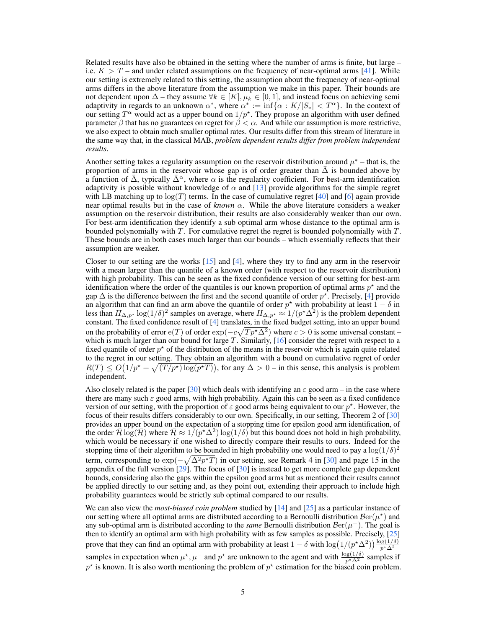Related results have also be obtained in the setting where the number of arms is finite, but large – i.e.  $K > T$  – and under related assumptions on the frequency of near-optimal arms [\[41\]](#page-11-3). While our setting is extremely related to this setting, the assumption about the frequency of near-optimal arms differs in the above literature from the assumption we make in this paper. Their bounds are not dependent upon  $\Delta$  – they assume  $\forall k \in [K], \mu_k \in [0, 1]$ , and instead focus on achieving semi adaptivity in regards to an unknown  $\alpha^*$ , where  $\alpha^* := \inf \{ \alpha : K/|S_*| < T^{\alpha} \}$ . In the context of our setting  $T^{\alpha}$  would act as a upper bound on  $1/p^*$ . They propose an algorithm with user defined parameter  $\beta$  that has no guarantees on regret for  $\beta < \alpha$ . And while our assumption is more restrictive, we also expect to obtain much smaller optimal rates. Our results differ from this stream of literature in the same way that, in the classical MAB, *problem dependent results differ from problem independent results*.

Another setting takes a regularity assumption on the reservoir distribution around  $\mu^*$  – that is, the proportion of arms in the reservoir whose gap is of order greater than  $\overline{\Delta}$  is bounded above by a function of  $\bar{\Delta}$ , typically  $\bar{\Delta}^{\alpha}$ , where  $\alpha$  is the regularity coefficient. For best-arm identification adaptivity is possible without knowledge of  $\alpha$  and [\[13\]](#page-9-10) provide algorithms for the simple regret with LB matching up to  $log(T)$  terms. In the case of cumulative regret [\[40\]](#page-11-5) and [\[6\]](#page-9-9) again provide near optimal results but in the case of *known*  $\alpha$ . While the above literature considers a weaker assumption on the reservoir distribution, their results are also considerably weaker than our own. For best-arm identification they identify a sub optimal arm whose distance to the optimal arm is bounded polynomially with  $T$ . For cumulative regret the regret is bounded polynomially with  $T$ . These bounds are in both cases much larger than our bounds – which essentially reflects that their assumption are weaker.

Closer to our setting are the works [\[15\]](#page-9-12) and [\[4\]](#page-9-11), where they try to find any arm in the reservoir with a mean larger than the quantile of a known order (with respect to the reservoir distribution) with high probability. This can be seen as the fixed confidence version of our setting for best-arm identification where the order of the quantiles is our known proportion of optimal arms  $p^*$  and the gap  $\Delta$  is the difference between the first and the second quantile of order  $p^*$ . Precisely, [\[4\]](#page-9-11) provide an algorithm that can find an arm above the quantile of order  $p^*$  with probability at least  $1 - \delta$  in less than  $H_{\Delta,p^*}$  log $(1/\delta)^2$  samples on average, where  $H_{\Delta,p^*} \approx 1/(p^*\Delta^2)$  is the problem dependent constant. The fixed confidence result of [\[4\]](#page-9-11) translates, in the fixed budget setting, into an upper bound on the probability of error  $e(T)$  of order  $exp(-c\sqrt{Tp^{\star}\Delta^2})$  where  $c > 0$  is some universal constant – which is much larger than our bound for large  $T$ . Similarly,  $[16]$  consider the regret with respect to a fixed quantile of order  $p^*$  of the distribution of the means in the reservoir which is again quite related to the regret in our setting. They obtain an algorithm with a bound on cumulative regret of order  $R(T) \leq O(1/p^* + \sqrt{(T/p^*) \log(p^*T)})$ , for any  $\Delta > 0$  – in this sense, this analysis is problem independent.

Also closely related is the paper [\[30\]](#page-10-10) which deals with identifying an  $\varepsilon$  good arm – in the case where there are many such  $\varepsilon$  good arms, with high probability. Again this can be seen as a fixed confidence version of our setting, with the proportion of  $\varepsilon$  good arms being equivalent to our  $p^*$ . However, the focus of their results differs considerably to our own. Specifically, in our setting, Theorem 2 of [\[30\]](#page-10-10) provides an upper bound on the expectation of a stopping time for epsilon good arm identification, of the order  $\bar{\mathcal{H}} \log(\bar{\mathcal{H}})$  where  $\bar{\mathcal{H}} \approx 1/(p^{\star} \Delta^2) \log(1/\delta)$  but this bound does not hold in high probability, which would be necessary if one wished to directly compare their results to ours. Indeed for the stopping time of their algorithm to be bounded in high probability one would need to pay a  $\log(1/\delta)^2$ term, corresponding to  $\exp(-\sqrt{\Delta^2 p^* T})$  in our setting, see Remark 4 in [\[30\]](#page-10-10) and page 15 in the appendix of the full version  $[29]$ . The focus of  $[30]$  is instead to get more complete gap dependent bounds, considering also the gaps within the epsilon good arms but as mentioned their results cannot be applied directly to our setting and, as they point out, extending their approach to include high probability guarantees would be strictly sub optimal compared to our results.

We can also view the *most-biased coin problem* studied by [\[14\]](#page-9-14) and [\[25\]](#page-10-12) as a particular instance of our setting where all optimal arms are distributed according to a Bernoulli distribution  $\mathcal{B}er(\mu^*)$  and any sub-optimal arm is distributed according to the *same* Bernoulli distribution  $\mathcal{B}er(\mu^-)$ . The goal is then to identify an optimal arm with high probability with as few samples as possible. Precisely, [\[25\]](#page-10-12) prove that they can find an optimal arm with probability at least  $1-\delta$  with  $\log(1/(p^*\Delta^2))\frac{\log(1/\delta)}{p^*\Delta^2}$ samples in expectation when  $\mu^*$ ,  $\mu^-$  and  $p^*$  are unknown to the agent and with  $\frac{\log(1/\delta)}{p^*\Delta^2}$  samples if  $p^*$  is known. It is also worth mentioning the problem of  $p^*$  estimation for the biased coin problem.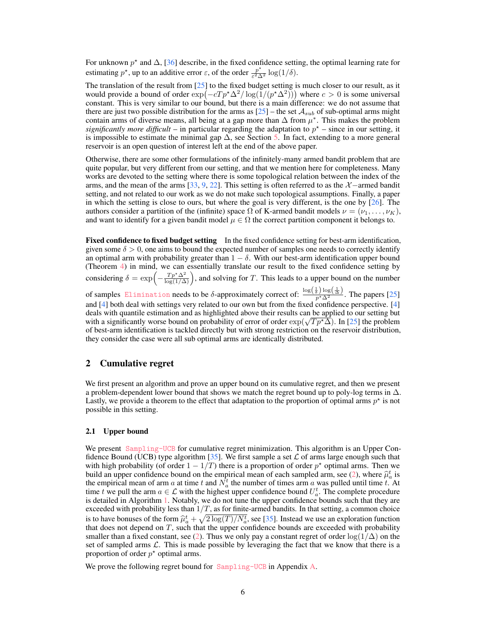For unknown  $p^*$  and  $\Delta$ , [\[36\]](#page-11-6) describe, in the fixed confidence setting, the optimal learning rate for estimating  $p^*$ , up to an additive error  $\varepsilon$ , of the order  $\frac{p^*}{\varepsilon^2}$  $\frac{p}{\varepsilon^2\Delta^2}\log(1/\delta).$ 

The translation of the result from [\[25\]](#page-10-12) to the fixed budget setting is much closer to our result, as it would provide a bound of order  $\exp(-cT p^* \Delta^2 / \log(1/(p^* \Delta^2)))$  where  $c > 0$  is some universal constant. This is very similar to our bound, but there is a main difference: we do not assume that there are just two possible distribution for the arms as  $[25]$  – the set  $A_{sub}$  of sub-optimal arms might contain arms of diverse means, all being at a gap more than  $\Delta$  from  $\mu^*$ . This makes the problem *significantly more difficult* – in particular regarding the adaptation to  $p^*$  – since in our setting, it is impossible to estimate the minimal gap  $\Delta$ , see Section [5.](#page-8-0) In fact, extending to a more general reservoir is an open question of interest left at the end of the above paper.

Otherwise, there are some other formulations of the infinitely-many armed bandit problem that are quite popular, but very different from our setting, and that we mention here for completeness. Many works are devoted to the setting where there is some topological relation between the index of the arms, and the mean of the arms [\[33,](#page-10-13) [9,](#page-9-15) [22\]](#page-10-14). This setting is often referred to as the  $\mathcal{X}$  –armed bandit setting, and not related to our work as we do not make such topological assumptions. Finally, a paper in which the setting is close to ours, but where the goal is very different, is the one by  $[26]$ . The authors consider a partition of the (infinite) space  $\Omega$  of K-armed bandit models  $\nu = (\nu_1, \dots, \nu_K)$ , and want to identify for a given bandit model  $\mu \in \Omega$  the correct partition component it belongs to.

Fixed confidence to fixed budget setting In the fixed confidence setting for best-arm identification, given some  $\delta > 0$ , one aims to bound the expected number of samples one needs to correctly identify an optimal arm with probability greater than  $1 - \delta$ . With our best-arm identification upper bound (Theorem [4\)](#page-7-1) in mind, we can essentially translate our result to the fixed confidence setting by considering  $\delta = \exp\left(-\frac{Tp^*\Delta^2}{\log(1/\Delta)}\right)$ , and solving for T. This leads to a upper bound on the number of samples [Elimination](#page-7-2) needs to be  $\delta$ -approximately correct of:  $\frac{\log(\frac{1}{\delta})\log(\frac{1}{\Delta})}{p^{\star}\Delta^2}$ . The papers [\[25\]](#page-10-12) and [\[4\]](#page-9-11) both deal with settings very related to our own but from the fixed confidence perspective. [\[4\]](#page-9-11) deals with quantile estimation and as highlighted above their results can be applied to our setting but deals with quantile estimation and as highlighted above their results can be applied to our setting but<br>with a significantly worse bound on probability of error of order  $\exp(\sqrt{T p^* \Delta})$ . In [\[25\]](#page-10-12) the problem of best-arm identification is tackled directly but with strong restriction on the reservoir distribution, they consider the case were all sub optimal arms are identically distributed.

# 2 Cumulative regret

We first present an algorithm and prove an upper bound on its cumulative regret, and then we present a problem-dependent lower bound that shows we match the regret bound up to poly-log terms in  $\Delta$ . Lastly, we provide a theorem to the effect that adaptation to the proportion of optimal arms  $p^*$  is not possible in this setting.

#### <span id="page-5-0"></span>2.1 Upper bound

We present [Sampling-UCB](#page-6-3) for cumulative regret minimization. This algorithm is an Upper Con-fidence Bound (UCB) type algorithm [\[35\]](#page-11-0). We first sample a set  $\mathcal L$  of arms large enough such that with high probability (of order  $1 - 1/T$ ) there is a proportion of order  $p^*$  optimal arms. Then we build an upper confidence bound on the empirical mean of each sampled arm, see [\(2\)](#page-6-4), where  $\hat{\mu}_a^t$  is the empirical mean of arm a at time t and  $N_a^t$  the number of times arm a was pulled until time t. At time t we pull the arm  $a \in \mathcal{L}$  with the highest upper confidence bound  $U_a^t$ . The complete procedure is detailed in Algorithm [1.](#page-6-3) Notably, we do not tune the upper confidence bounds such that they are exceeded with probability less than  $1/T$ , as for finite-armed bandits. In that setting, a common choice is to have bonuses of the form  $\hat{\mu}_a^t + \sqrt{2 \log(T)/N_a^t}$ , see [\[35\]](#page-11-0). Instead we use an exploration function function that does not depend on  $T$ , such that the upper confidence bounds are exceeded with probability smaller than a fixed constant, see [\(2\)](#page-6-4). Thus we only pay a constant regret of order  $\log(1/\Delta)$  on the set of sampled arms  $\mathcal{L}$ . This is made possible by leveraging the fact that we know that there is a proportion of order  $p^*$  optimal arms.

We prove the following regret bound for [Sampling-UCB](#page-6-3) in Appendix [A.](#page-13-0)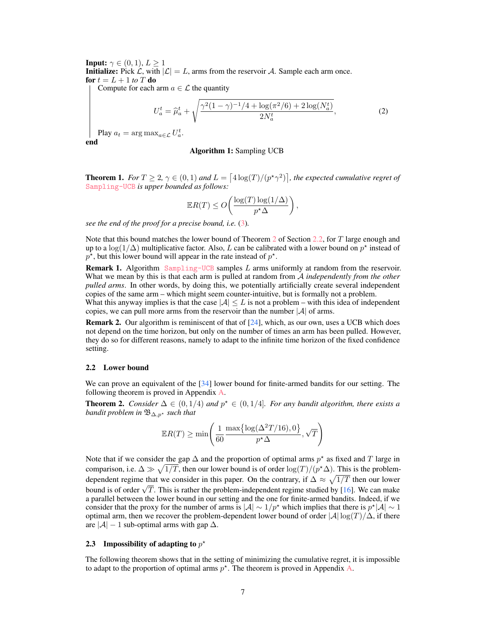<span id="page-6-3"></span>**Input:**  $\gamma \in (0, 1), L > 1$ **Initialize:** Pick  $\mathcal{L}$ , with  $|\mathcal{L}| = L$ , arms from the reservoir A. Sample each arm once. for  $t = L + 1$  *to*  $T$  do

Compute for each arm  $a \in \mathcal{L}$  the quantity

$$
U_a^t = \hat{\mu}_a^t + \sqrt{\frac{\gamma^2 (1 - \gamma)^{-1} / 4 + \log(\pi^2 / 6) + 2 \log(N_a^t)}{2N_a^t}},\tag{2}
$$

Play  $a_t = \arg \max_{a \in \mathcal{L}} U_a^t$ . end

#### <span id="page-6-4"></span>Algorithm 1: Sampling UCB

<span id="page-6-0"></span>**Theorem 1.** *For*  $T \geq 2$ ,  $\gamma \in (0,1)$  and  $L = \lceil 4 \log(T)/(p^{\star}\gamma^2) \rceil$ , the expected cumulative regret of [Sampling-UCB](#page-6-3) *is upper bounded as follows:*

$$
\mathbb{E}R(T) \le O\left(\frac{\log(T)\log(1/\Delta)}{p^{\star}\Delta}\right),\,
$$

*see the end of the proof for a precise bound, i.e.* [\(3\)](#page-14-0)*.*

Note that this bound matches the lower bound of Theorem [2](#page-6-1) of Section [2.2,](#page-6-5) for T large enough and up to a log(1/ $\Delta$ ) multiplicative factor. Also, L can be calibrated with a lower bound on  $p^*$  instead of  $p^*$ , but this lower bound will appear in the rate instead of  $p^*$ .

<span id="page-6-6"></span>**Remark 1.** Algorithm [Sampling-UCB](#page-6-3) samples L arms uniformly at random from the reservoir. What we mean by this is that each arm is pulled at random from A *independently from the other pulled arms*. In other words, by doing this, we potentially artificially create several independent copies of the same arm – which might seem counter-intuitive, but is formally not a problem.

What this anyway implies is that the case  $|\mathcal{A}| \leq L$  is not a problem – with this idea of independent copies, we can pull more arms from the reservoir than the number  $|\mathcal{A}|$  of arms.

**Remark 2.** Our algorithm is reminiscent of that of  $[24]$ , which, as our own, uses a UCB which does not depend on the time horizon, but only on the number of times an arm has been pulled. However, they do so for different reasons, namely to adapt to the infinite time horizon of the fixed confidence setting.

#### <span id="page-6-5"></span>2.2 Lower bound

We can prove an equivalent of the [\[34\]](#page-10-6) lower bound for finite-armed bandits for our setting. The following theorem is proved in Appendix [A.](#page-13-0)

<span id="page-6-1"></span>**Theorem 2.** *Consider*  $\Delta \in (0, 1/4)$  *and*  $p^* \in (0, 1/4]$ *. For any bandit algorithm, there exists a bandit problem in*  $\mathfrak{B}_{\Delta,p^*}$  *such that* 

$$
\mathbb{E}R(T) \ge \min\left(\frac{1}{60} \frac{\max\left\{\log(\Delta^2 T/16), 0\right\}}{p^{\star} \Delta}, \sqrt{T}\right)
$$

Note that if we consider the gap  $\Delta$  and the proportion of optimal arms  $p^*$  as fixed and T large in comparison, i.e.  $\Delta \gg \sqrt{1/T}$ , then our lower bound is of order  $\log(T)/(p^*\Delta)$ . This is the problemdependent regime that we consider in this paper. On the contrary, if  $\Delta \approx \sqrt{1/T}$  then our lower bound is of order  $\sqrt{T}$ . This is rather the problem-independent regime studied by [\[16\]](#page-9-13). We can make a parallel between the lower bound in our setting and the one for finite-armed bandits. Indeed, if we consider that the proxy for the number of arms is  $|A| \sim 1/p^*$  which implies that there is  $p^*|A| \sim 1$ optimal arm, then we recover the problem-dependent lower bound of order  $|\mathcal{A}| \log(T)/\Delta$ , if there are  $|A| - 1$  sub-optimal arms with gap  $\Delta$ .

# <span id="page-6-2"></span>2.3 Impossibility of adapting to  $p^*$

The following theorem shows that in the setting of minimizing the cumulative regret, it is impossible to adapt to the proportion of optimal arms  $p^*$ . The theorem is proved in Appendix [A.](#page-13-0)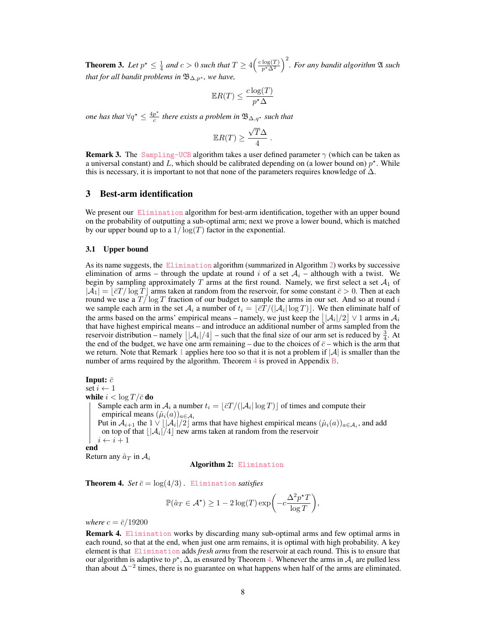<span id="page-7-3"></span>**Theorem 3.** Let  $p^* \leq \frac{1}{4}$  and  $c > 0$  such that  $T \geq 4\left(\frac{c \log(T)}{p^* \Delta^2}\right)^2$ . For any bandit algorithm  $\mathfrak A$  such *that for all bandit problems in*  $\mathfrak{B}_{\Delta,p^*}$ *, we have,* 

$$
\mathbb{E}R(T) \le \frac{c \log(T)}{p^{\star} \Delta}
$$

*one has that*  $\forall q^* \leq \frac{4p^*}{q}$ c *there exists a problem in* B∆,q? *such that*

$$
\mathbb{E}R(T) \ge \frac{\sqrt{T}\Delta}{4} \; .
$$

**Remark 3.** The [Sampling-UCB](#page-6-3) algorithm takes a user defined parameter  $\gamma$  (which can be taken as a universal constant) and L, which should be calibrated depending on (a lower bound on)  $p^*$ . While this is necessary, it is important to not that none of the parameters requires knowledge of  $\Delta$ .

## 3 Best-arm identification

We present our [Elimination](#page-7-2) algorithm for best-arm identification, together with an upper bound on the probability of outputting a sub-optimal arm; next we prove a lower bound, which is matched by our upper bound up to a  $1/\log(T)$  factor in the exponential.

#### <span id="page-7-0"></span>3.1 Upper bound

As its name suggests, the [Elimination](#page-7-2) algorithm (summarized in Algorithm [2\)](#page-7-2) works by successive elimination of arms – through the update at round i of a set  $A_i$  – although with a twist. We begin by sampling approximately T arms at the first round. Namely, we first select a set  $A_1$  of  $|A_1| = \lfloor \bar{c}T / \log T \rfloor$  arms taken at random from the reservoir, for some constant  $\bar{c} > 0$ . Then at each round we use a  $T/\log T$  fraction of our budget to sample the arms in our set. And so at round i we sample each arm in the set  $A_i$  a number of  $t_i = \lfloor \bar{c}T / (|\mathcal{A}_i| \log T)\rfloor$ . We then eliminate half of the arms based on the arms' empirical means – namely, we just keep the  $||A_i|/2 \,|| \vee 1$  arms in  $A_i$ that have highest empirical means – and introduce an additional number of arms sampled from the reservoir distribution – namely  $\lfloor |A_i|/4 \rfloor$  – such that the final size of our arm set is reduced by  $\frac{3}{4}$ . At the end of the budget, we have one arm remaining – due to the choices of  $\bar{c}$  – which is the arm that we return. Note that Remark [1](#page-6-6) applies here too so that it is not a problem if  $|\mathcal{A}|$  is smaller than the number of arms required by the algorithm. Theorem  $4$  is proved in Appendix  $\overline{B}$ .

<span id="page-7-2"></span>Input:  $\bar{c}$ set  $i \leftarrow 1$ while  $i < \log T / \bar{c}$  do Sample each arm in  $A_i$  a number  $t_i = \lfloor \bar{c}T / (\vert A_i \vert \log T) \rfloor$  of times and compute their empirical means  $(\hat{\mu}_i(a))_{a \in \mathcal{A}_i}$ Put in  $A_{i+1}$  the  $1 \vee \lfloor |A_i|/2 \rfloor$  arms that have highest empirical means  $(\hat{\mu}_i(a))_{a \in A_i}$ , and add on top of that  $\lfloor |\mathcal{A}_i|/4\rfloor$  new arms taken at random from the reservoir  $i \leftarrow i + 1$ end Return any  $\hat{a}_T$  in  $A_i$ 

Algorithm 2: [Elimination](#page-7-2)

<span id="page-7-1"></span>**Theorem 4.** *Set*  $\bar{c} = \log(4/3)$ . [Elimination](#page-7-2) *satisfies* 

$$
\mathbb{P}(\hat{a}_T \in \mathcal{A}^{\star}) \ge 1 - 2\log(T) \exp\left(-c\frac{\Delta^2 p^{\star} T}{\log T}\right),\,
$$

*where*  $c = \bar{c}/19200$ 

Remark 4. [Elimination](#page-7-2) works by discarding many sub-optimal arms and few optimal arms in each round, so that at the end, when just one arm remains, it is optimal with high probability. A key element is that [Elimination](#page-7-2) adds *fresh arms* from the reservoir at each round. This is to ensure that our algorithm is adaptive to  $p^*$ ,  $\Delta$ , as ensured by Theorem [4.](#page-7-1) Whenever the arms in  $\mathcal{A}_i$  are pulled less than about  $\Delta^{-2}$  times, there is no guarantee on what happens when half of the arms are eliminated.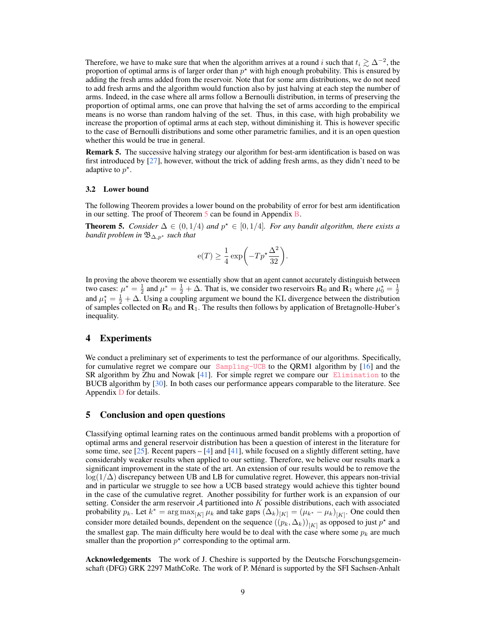Therefore, we have to make sure that when the algorithm arrives at a round i such that  $t_i \gtrsim \Delta^{-2}$ , the proportion of optimal arms is of larger order than  $p^*$  with high enough probability. This is ensured by adding the fresh arms added from the reservoir. Note that for some arm distributions, we do not need to add fresh arms and the algorithm would function also by just halving at each step the number of arms. Indeed, in the case where all arms follow a Bernoulli distribution, in terms of preserving the proportion of optimal arms, one can prove that halving the set of arms according to the empirical means is no worse than random halving of the set. Thus, in this case, with high probability we increase the proportion of optimal arms at each step, without diminishing it. This is however specific to the case of Bernoulli distributions and some other parametric families, and it is an open question whether this would be true in general.

Remark 5. The successive halving strategy our algorithm for best-arm identification is based on was first introduced by [\[27\]](#page-10-17), however, without the trick of adding fresh arms, as they didn't need to be adaptive to  $p^*$ .

#### 3.2 Lower bound

The following Theorem provides a lower bound on the probability of error for best arm identification in our setting. The proof of Theorem [5](#page-8-1) can be found in Appendix [B.](#page-17-0)

<span id="page-8-1"></span>**Theorem 5.** *Consider*  $\Delta \in (0, 1/4)$  *and*  $p^{\star} \in [0, 1/4]$ *. For any bandit algorithm, there exists a bandit problem in*  $\mathfrak{B}_{\Delta,p^*}$  *such that* 

$$
e(T) \ge \frac{1}{4} \exp\biggl(-Tp^{\star} \frac{\Delta^2}{32}\biggr).
$$

In proving the above theorem we essentially show that an agent cannot accurately distinguish between two cases:  $\mu^* = \frac{1}{2}$  and  $\mu^* = \frac{1}{2} + \Delta$ . That is, we consider two reservoirs  $\mathbf{R}_0$  and  $\mathbf{R}_1$  where  $\mu_0^* = \frac{1}{2}$ and  $\mu_1^* = \frac{1}{2} + \Delta$ . Using a coupling argument we bound the KL divergence between the distribution of samples collected on  $\mathbf{R}_0$  and  $\mathbf{R}_1$ . The results then follows by application of Bretagnolle-Huber's inequality.

# 4 Experiments

We conduct a preliminary set of experiments to test the performance of our algorithms. Specifically, for cumulative regret we compare our  $Sampling$  to the QRM1 algorithm by [\[16\]](#page-9-13) and the SR algorithm by Zhu and Nowak [\[41\]](#page-11-3). For simple regret we compare our [Elimination](#page-7-2) to the BUCB algorithm by [\[30\]](#page-10-10). In both cases our performance appears comparable to the literature. See Appendix [D](#page-22-0) for details.

## <span id="page-8-0"></span>5 Conclusion and open questions

Classifying optimal learning rates on the continuous armed bandit problems with a proportion of optimal arms and general reservoir distribution has been a question of interest in the literature for some time, see [\[25\]](#page-10-12). Recent papers  $-$  [\[4\]](#page-9-11) and [\[41\]](#page-11-3), while focused on a slightly different setting, have considerably weaker results when applied to our setting. Therefore, we believe our results mark a significant improvement in the state of the art. An extension of our results would be to remove the  $\log(1/\Delta)$  discrepancy between UB and LB for cumulative regret. However, this appears non-trivial and in particular we struggle to see how a UCB based strategy would achieve this tighter bound in the case of the cumulative regret. Another possibility for further work is an expansion of our setting. Consider the arm reservoir  $A$  partitioned into  $K$  possible distributions, each with associated probability  $p_k$ . Let  $k^* = \arg \max_{[K]} \mu_k$  and take gaps  $(\Delta_k)_{[K]} = (\mu_{k^*} - \mu_k)_{[K]}$ . One could then consider more detailed bounds, dependent on the sequence  $((p_k, \Delta_k))_{[K]}$  as opposed to just  $p^*$  and the smallest gap. The main difficulty here would be to deal with the case where some  $p_k$  are much smaller than the proportion  $p^*$  corresponding to the optimal arm.

Acknowledgements The work of J. Cheshire is supported by the Deutsche Forschungsgemeinschaft (DFG) GRK 2297 MathCoRe. The work of P. Ménard is supported by the SFI Sachsen-Anhalt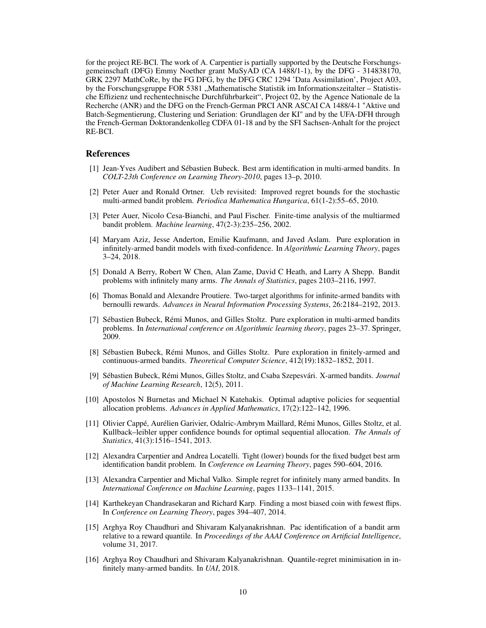for the project RE-BCI. The work of A. Carpentier is partially supported by the Deutsche Forschungsgemeinschaft (DFG) Emmy Noether grant MuSyAD (CA 1488/1-1), by the DFG - 314838170, GRK 2297 MathCoRe, by the FG DFG, by the DFG CRC 1294 'Data Assimilation', Project A03, by the Forschungsgruppe FOR 5381 "Mathematische Statistik im Informationszeitalter – Statistische Effizienz und rechentechnische Durchführbarkeit", Project 02, by the Agence Nationale de la Recherche (ANR) and the DFG on the French-German PRCI ANR ASCAI CA 1488/4-1 "Aktive und Batch-Segmentierung, Clustering und Seriation: Grundlagen der KI" and by the UFA-DFH through the French-German Doktorandenkolleg CDFA 01-18 and by the SFI Sachsen-Anhalt for the project RE-BCI.

## References

- <span id="page-9-1"></span>[1] Jean-Yves Audibert and Sébastien Bubeck. Best arm identification in multi-armed bandits. In *COLT-23th Conference on Learning Theory-2010*, pages 13–p, 2010.
- <span id="page-9-4"></span>[2] Peter Auer and Ronald Ortner. Ucb revisited: Improved regret bounds for the stochastic multi-armed bandit problem. *Periodica Mathematica Hungarica*, 61(1-2):55–65, 2010.
- <span id="page-9-3"></span>[3] Peter Auer, Nicolo Cesa-Bianchi, and Paul Fischer. Finite-time analysis of the multiarmed bandit problem. *Machine learning*, 47(2-3):235–256, 2002.
- <span id="page-9-11"></span>[4] Maryam Aziz, Jesse Anderton, Emilie Kaufmann, and Javed Aslam. Pure exploration in infinitely-armed bandit models with fixed-confidence. In *Algorithmic Learning Theory*, pages 3–24, 2018.
- <span id="page-9-2"></span>[5] Donald A Berry, Robert W Chen, Alan Zame, David C Heath, and Larry A Shepp. Bandit problems with infinitely many arms. *The Annals of Statistics*, pages 2103–2116, 1997.
- <span id="page-9-9"></span>[6] Thomas Bonald and Alexandre Proutiere. Two-target algorithms for infinite-armed bandits with bernoulli rewards. *Advances in Neural Information Processing Systems*, 26:2184–2192, 2013.
- <span id="page-9-0"></span>[7] Sébastien Bubeck, Rémi Munos, and Gilles Stoltz. Pure exploration in multi-armed bandits problems. In *International conference on Algorithmic learning theory*, pages 23–37. Springer, 2009.
- <span id="page-9-7"></span>[8] Sébastien Bubeck, Rémi Munos, and Gilles Stoltz. Pure exploration in finitely-armed and continuous-armed bandits. *Theoretical Computer Science*, 412(19):1832–1852, 2011.
- <span id="page-9-15"></span>[9] Sébastien Bubeck, Rémi Munos, Gilles Stoltz, and Csaba Szepesvári. X-armed bandits. *Journal of Machine Learning Research*, 12(5), 2011.
- <span id="page-9-6"></span>[10] Apostolos N Burnetas and Michael N Katehakis. Optimal adaptive policies for sequential allocation problems. *Advances in Applied Mathematics*, 17(2):122–142, 1996.
- <span id="page-9-5"></span>[11] Olivier Cappé, Aurélien Garivier, Odalric-Ambrym Maillard, Rémi Munos, Gilles Stoltz, et al. Kullback–leibler upper confidence bounds for optimal sequential allocation. *The Annals of Statistics*, 41(3):1516–1541, 2013.
- <span id="page-9-8"></span>[12] Alexandra Carpentier and Andrea Locatelli. Tight (lower) bounds for the fixed budget best arm identification bandit problem. In *Conference on Learning Theory*, pages 590–604, 2016.
- <span id="page-9-10"></span>[13] Alexandra Carpentier and Michal Valko. Simple regret for infinitely many armed bandits. In *International Conference on Machine Learning*, pages 1133–1141, 2015.
- <span id="page-9-14"></span>[14] Karthekeyan Chandrasekaran and Richard Karp. Finding a most biased coin with fewest flips. In *Conference on Learning Theory*, pages 394–407, 2014.
- <span id="page-9-12"></span>[15] Arghya Roy Chaudhuri and Shivaram Kalyanakrishnan. Pac identification of a bandit arm relative to a reward quantile. In *Proceedings of the AAAI Conference on Artificial Intelligence*, volume 31, 2017.
- <span id="page-9-13"></span>[16] Arghya Roy Chaudhuri and Shivaram Kalyanakrishnan. Quantile-regret minimisation in infinitely many-armed bandits. In *UAI*, 2018.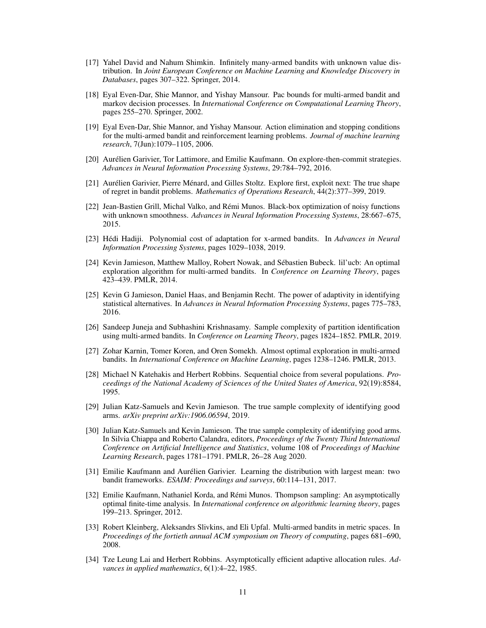- <span id="page-10-9"></span>[17] Yahel David and Nahum Shimkin. Infinitely many-armed bandits with unknown value distribution. In *Joint European Conference on Machine Learning and Knowledge Discovery in Databases*, pages 307–322. Springer, 2014.
- <span id="page-10-0"></span>[18] Eyal Even-Dar, Shie Mannor, and Yishay Mansour. Pac bounds for multi-armed bandit and markov decision processes. In *International Conference on Computational Learning Theory*, pages 255–270. Springer, 2002.
- <span id="page-10-5"></span>[19] Eyal Even-Dar, Shie Mannor, and Yishay Mansour. Action elimination and stopping conditions for the multi-armed bandit and reinforcement learning problems. *Journal of machine learning research*, 7(Jun):1079–1105, 2006.
- <span id="page-10-4"></span>[20] Aurélien Garivier, Tor Lattimore, and Emilie Kaufmann. On explore-then-commit strategies. *Advances in Neural Information Processing Systems*, 29:784–792, 2016.
- <span id="page-10-7"></span>[21] Aurélien Garivier, Pierre Ménard, and Gilles Stoltz. Explore first, exploit next: The true shape of regret in bandit problems. *Mathematics of Operations Research*, 44(2):377–399, 2019.
- <span id="page-10-14"></span>[22] Jean-Bastien Grill, Michal Valko, and Rémi Munos. Black-box optimization of noisy functions with unknown smoothness. *Advances in Neural Information Processing Systems*, 28:667–675, 2015.
- <span id="page-10-1"></span>[23] Hédi Hadiji. Polynomial cost of adaptation for x-armed bandits. In *Advances in Neural Information Processing Systems*, pages 1029–1038, 2019.
- <span id="page-10-16"></span>[24] Kevin Jamieson, Matthew Malloy, Robert Nowak, and Sébastien Bubeck. lil'ucb: An optimal exploration algorithm for multi-armed bandits. In *Conference on Learning Theory*, pages 423–439. PMLR, 2014.
- <span id="page-10-12"></span>[25] Kevin G Jamieson, Daniel Haas, and Benjamin Recht. The power of adaptivity in identifying statistical alternatives. In *Advances in Neural Information Processing Systems*, pages 775–783, 2016.
- <span id="page-10-15"></span>[26] Sandeep Juneja and Subhashini Krishnasamy. Sample complexity of partition identification using multi-armed bandits. In *Conference on Learning Theory*, pages 1824–1852. PMLR, 2019.
- <span id="page-10-17"></span>[27] Zohar Karnin, Tomer Koren, and Oren Somekh. Almost optimal exploration in multi-armed bandits. In *International Conference on Machine Learning*, pages 1238–1246. PMLR, 2013.
- <span id="page-10-2"></span>[28] Michael N Katehakis and Herbert Robbins. Sequential choice from several populations. *Proceedings of the National Academy of Sciences of the United States of America*, 92(19):8584, 1995.
- <span id="page-10-11"></span>[29] Julian Katz-Samuels and Kevin Jamieson. The true sample complexity of identifying good arms. *arXiv preprint arXiv:1906.06594*, 2019.
- <span id="page-10-10"></span>[30] Julian Katz-Samuels and Kevin Jamieson. The true sample complexity of identifying good arms. In Silvia Chiappa and Roberto Calandra, editors, *Proceedings of the Twenty Third International Conference on Artificial Intelligence and Statistics*, volume 108 of *Proceedings of Machine Learning Research*, pages 1781–1791. PMLR, 26–28 Aug 2020.
- <span id="page-10-8"></span>[31] Emilie Kaufmann and Aurélien Garivier. Learning the distribution with largest mean: two bandit frameworks. *ESAIM: Proceedings and surveys*, 60:114–131, 2017.
- <span id="page-10-3"></span>[32] Emilie Kaufmann, Nathaniel Korda, and Rémi Munos. Thompson sampling: An asymptotically optimal finite-time analysis. In *International conference on algorithmic learning theory*, pages 199–213. Springer, 2012.
- <span id="page-10-13"></span>[33] Robert Kleinberg, Aleksandrs Slivkins, and Eli Upfal. Multi-armed bandits in metric spaces. In *Proceedings of the fortieth annual ACM symposium on Theory of computing*, pages 681–690, 2008.
- <span id="page-10-6"></span>[34] Tze Leung Lai and Herbert Robbins. Asymptotically efficient adaptive allocation rules. *Advances in applied mathematics*, 6(1):4–22, 1985.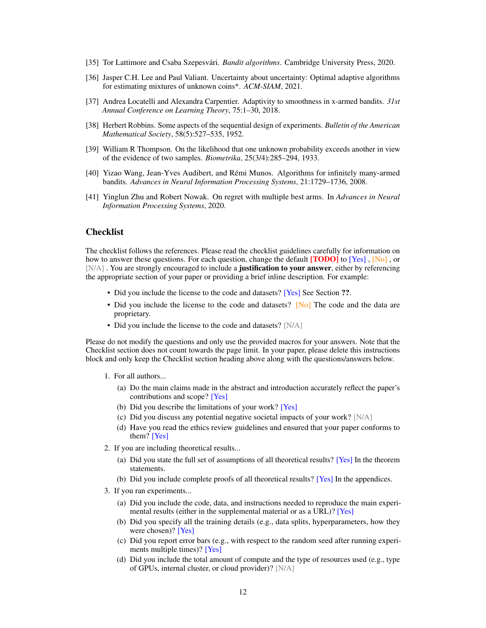- <span id="page-11-0"></span>[35] Tor Lattimore and Csaba Szepesvári. *Bandit algorithms*. Cambridge University Press, 2020.
- <span id="page-11-6"></span>[36] Jasper C.H. Lee and Paul Valiant. Uncertainty about uncertainty: Optimal adaptive algorithms for estimating mixtures of unknown coins\*. *ACM-SIAM*, 2021.
- <span id="page-11-2"></span>[37] Andrea Locatelli and Alexandra Carpentier. Adaptivity to smoothness in x-armed bandits. *31st Annual Conference on Learning Theory*, 75:1–30, 2018.
- <span id="page-11-1"></span>[38] Herbert Robbins. Some aspects of the sequential design of experiments. *Bulletin of the American Mathematical Society*, 58(5):527–535, 1952.
- <span id="page-11-4"></span>[39] William R Thompson. On the likelihood that one unknown probability exceeds another in view of the evidence of two samples. *Biometrika*, 25(3/4):285–294, 1933.
- <span id="page-11-5"></span>[40] Yizao Wang, Jean-Yves Audibert, and Rémi Munos. Algorithms for infinitely many-armed bandits. *Advances in Neural Information Processing Systems*, 21:1729–1736, 2008.
- <span id="page-11-3"></span>[41] Yinglun Zhu and Robert Nowak. On regret with multiple best arms. In *Advances in Neural Information Processing Systems*, 2020.

## Checklist

The checklist follows the references. Please read the checklist guidelines carefully for information on how to answer these questions. For each question, change the default **[TODO]** to [Yes] , [No], or [N/A]. You are strongly encouraged to include a **justification to your answer**, either by referencing the appropriate section of your paper or providing a brief inline description. For example:

- Did you include the license to the code and datasets? [Yes] See Section ??.
- Did you include the license to the code and datasets? [No] The code and the data are proprietary.
- Did you include the license to the code and datasets? [N/A]

Please do not modify the questions and only use the provided macros for your answers. Note that the Checklist section does not count towards the page limit. In your paper, please delete this instructions block and only keep the Checklist section heading above along with the questions/answers below.

- 1. For all authors...
	- (a) Do the main claims made in the abstract and introduction accurately reflect the paper's contributions and scope? [Yes]
	- (b) Did you describe the limitations of your work? [Yes]
	- (c) Did you discuss any potential negative societal impacts of your work? [N/A]
	- (d) Have you read the ethics review guidelines and ensured that your paper conforms to them? [Yes]
- 2. If you are including theoretical results...
	- (a) Did you state the full set of assumptions of all theoretical results? [Yes] In the theorem statements.
	- (b) Did you include complete proofs of all theoretical results? [Yes] In the appendices.
- 3. If you ran experiments...
	- (a) Did you include the code, data, and instructions needed to reproduce the main experimental results (either in the supplemental material or as a URL)? [Yes]
	- (b) Did you specify all the training details (e.g., data splits, hyperparameters, how they were chosen)? [Yes]
	- (c) Did you report error bars (e.g., with respect to the random seed after running experiments multiple times)? [Yes]
	- (d) Did you include the total amount of compute and the type of resources used (e.g., type of GPUs, internal cluster, or cloud provider)? [N/A]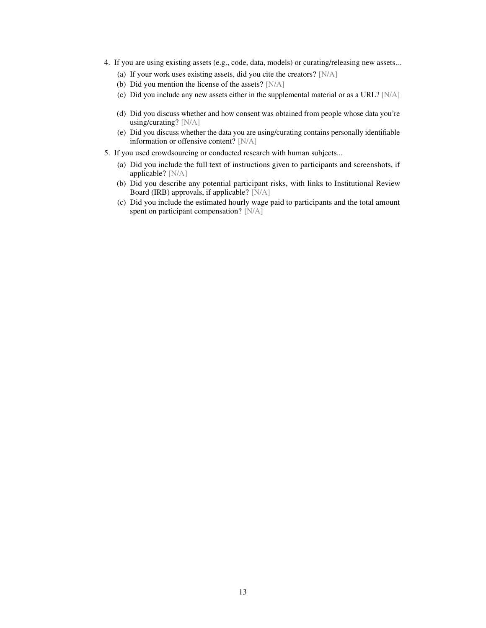- 4. If you are using existing assets (e.g., code, data, models) or curating/releasing new assets...
	- (a) If your work uses existing assets, did you cite the creators? [N/A]
	- (b) Did you mention the license of the assets? [N/A]
	- (c) Did you include any new assets either in the supplemental material or as a URL? [N/A]
	- (d) Did you discuss whether and how consent was obtained from people whose data you're using/curating? [N/A]
	- (e) Did you discuss whether the data you are using/curating contains personally identifiable information or offensive content? [N/A]
- 5. If you used crowdsourcing or conducted research with human subjects...
	- (a) Did you include the full text of instructions given to participants and screenshots, if applicable? [N/A]
	- (b) Did you describe any potential participant risks, with links to Institutional Review Board (IRB) approvals, if applicable? [N/A]
	- (c) Did you include the estimated hourly wage paid to participants and the total amount spent on participant compensation? [N/A]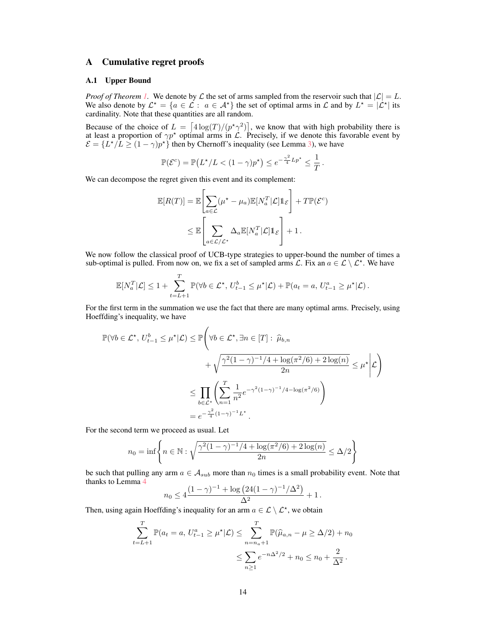# <span id="page-13-0"></span>A Cumulative regret proofs

#### A.1 Upper Bound

*Proof of Theorem [1.](#page-6-0)* We denote by  $\mathcal L$  the set of arms sampled from the reservoir such that  $|\mathcal L| = L$ . We also denote by  $\mathcal{L}^* = \{a \in \mathcal{L} : a \in \mathcal{A}^*\}\$ the set of optimal arms in  $\mathcal{L}$  and by  $L^* = |\mathcal{L}^*|$  its cardinality. Note that these quantities are all random.

Because of the choice of  $L = \left[4 \log(T)/(p^2 \gamma^2)\right]$ , we know that with high probability there is at least a proportion of  $\gamma p^*$  optimal arms in  $\mathcal{L}$ . Precisely, if we denote this favorable event by  $\mathcal{E} = \{L^{\star}/L \geq (1 - \gamma)p^{\star}\}\$  then by Chernoff's inequality (see Lemma [3\)](#page-21-0), we have

$$
\mathbb{P}(\mathcal{E}^c) = \mathbb{P}\left(L^{\star}/L < (1-\gamma)p^{\star}\right) \leq e^{-\frac{\gamma^2}{4}Lp^{\star}} \leq \frac{1}{T}.
$$

We can decompose the regret given this event and its complement:

$$
\mathbb{E}[R(T)] = \mathbb{E}\left[\sum_{a \in \mathcal{L}} (\mu^* - \mu_a) \mathbb{E}[N_a^T | \mathcal{L}] \mathbb{1}_{\mathcal{E}}\right] + T \mathbb{P}(\mathcal{E}^c)
$$

$$
\leq \mathbb{E}\left[\sum_{a \in \mathcal{L}/\mathcal{L}^*} \Delta_a \mathbb{E}[N_a^T | \mathcal{L}] \mathbb{1}_{\mathcal{E}}\right] + 1.
$$

We now follow the classical proof of UCB-type strategies to upper-bound the number of times a sub-optimal is pulled. From now on, we fix a set of sampled arms  $\mathcal{L}$ . Fix an  $a \in \mathcal{L} \setminus \mathcal{L}^*$ . We have

$$
\mathbb{E}[N_a^T|\mathcal{L}] \le 1 + \sum_{t=L+1}^T \mathbb{P}(\forall b \in \mathcal{L}^\star, U_{t-1}^b \le \mu^\star|\mathcal{L}) + \mathbb{P}(a_t = a, U_{t-1}^a \ge \mu^\star|\mathcal{L}).
$$

For the first term in the summation we use the fact that there are many optimal arms. Precisely, using Hoeffding's inequality, we have

$$
\mathbb{P}(\forall b \in \mathcal{L}^{\star}, U_{t-1}^{b} \leq \mu^{\star}|\mathcal{L}) \leq \mathbb{P}\left(\forall b \in \mathcal{L}^{\star}, \exists n \in [T]: \widehat{\mu}_{b,n}\right.
$$

$$
+\sqrt{\frac{\gamma^{2}(1-\gamma)^{-1}/4+\log(\pi^{2}/6)+2\log(n)}{2n}} \leq \mu^{\star}|\mathcal{L}\right)
$$

$$
\leq \prod_{b \in \mathcal{L}^{\star}}\left(\sum_{n=1}^{T} \frac{1}{n^{2}} e^{-\gamma^{2}(1-\gamma)^{-1}/4-\log(\pi^{2}/6)}\right)
$$

$$
= e^{-\frac{\gamma^{2}}{4}(1-\gamma)^{-1}L^{\star}}.
$$

For the second term we proceed as usual. Let

$$
n_0 = \inf \left\{ n \in \mathbb{N} : \sqrt{\frac{\gamma^2 (1 - \gamma)^{-1} / 4 + \log(\pi^2 / 6) + 2 \log(n)}{2n}} \le \Delta / 2 \right\}
$$

be such that pulling any arm  $a \in A_{sub}$  more than  $n_0$  times is a small probability event. Note that thanks to Lemma [4](#page-22-1)

$$
n_0 \le 4 \frac{(1 - \gamma)^{-1} + \log (24(1 - \gamma)^{-1}/\Delta^2)}{\Delta^2} + 1.
$$

Then, using again Hoeffding's inequality for an arm  $a \in \mathcal{L} \setminus \mathcal{L}^*$ , we obtain

$$
\sum_{t=L+1}^{T} \mathbb{P}(a_t = a, U_{t-1}^a \ge \mu^* | \mathcal{L}) \le \sum_{n=n_a+1}^{T} \mathbb{P}(\widehat{\mu}_{a,n} - \mu \ge \Delta/2) + n_0
$$
  

$$
\le \sum_{n\ge 1} e^{-n\Delta^2/2} + n_0 \le n_0 + \frac{2}{\Delta^2}.
$$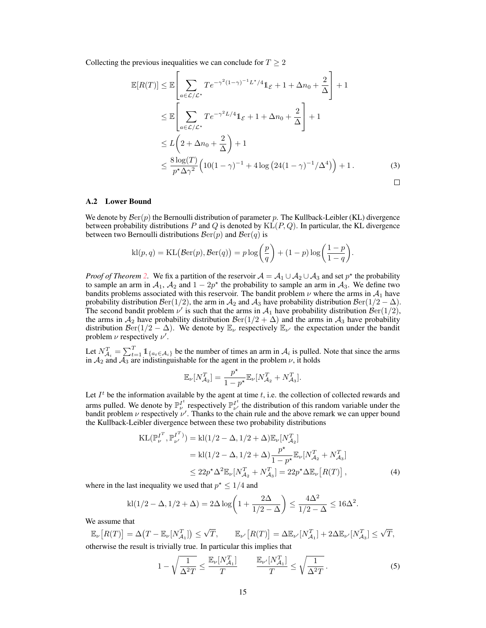Collecting the previous inequalities we can conclude for  $T \geq 2$ 

<span id="page-14-0"></span>
$$
\mathbb{E}[R(T)] \leq \mathbb{E}\left[\sum_{a\in\mathcal{L}/\mathcal{L}^*} T e^{-\gamma^2 (1-\gamma)^{-1}L^{\star}/4} \mathbb{1}_{\mathcal{E}} + 1 + \Delta n_0 + \frac{2}{\Delta}\right] + 1
$$
  
\n
$$
\leq \mathbb{E}\left[\sum_{a\in\mathcal{L}/\mathcal{L}^*} T e^{-\gamma^2 L/4} \mathbb{1}_{\mathcal{E}} + 1 + \Delta n_0 + \frac{2}{\Delta}\right] + 1
$$
  
\n
$$
\leq L\left(2 + \Delta n_0 + \frac{2}{\Delta}\right) + 1
$$
  
\n
$$
\leq \frac{8 \log(T)}{p^{\star} \Delta \gamma^2} \left(10(1-\gamma)^{-1} + 4 \log\left(24(1-\gamma)^{-1}/\Delta^4\right)\right) + 1.
$$
 (3)

#### A.2 Lower Bound

We denote by  $\mathcal{B}er(p)$  the Bernoulli distribution of parameter p. The Kullback-Leibler (KL) divergence between probability distributions  $P$  and  $Q$  is denoted by  $KL(P, Q)$ . In particular, the KL divergence between two Bernoulli distributions  $\mathcal{B}er(p)$  and  $\mathcal{B}er(q)$  is

$$
kl(p,q) = KL(\mathcal{B}er(p), \mathcal{B}er(q)) = p \log \left(\frac{p}{q}\right) + (1-p) \log \left(\frac{1-p}{1-q}\right).
$$

*Proof of Theorem [2.](#page-6-1)* We fix a partition of the reservoir  $A = A_1 \cup A_2 \cup A_3$  and set  $p^*$  the probability to sample an arm in  $A_1$ ,  $A_2$  and  $1 - 2p^*$  the probability to sample an arm in  $A_3$ . We define two bandits problems associated with this reservoir. The bandit problem  $\nu$  where the arms in  $\mathcal{A}_1$  have probability distribution  $\mathcal{B}\text{er}(1/2)$ , the arm in  $\mathcal{A}_2$  and  $\mathcal{A}_3$  have probability distribution  $\mathcal{B}\text{er}(1/2 - \Delta)$ . The second bandit problem  $\nu'$  is such that the arms in  $\mathcal{A}_1$  have probability distribution  $\mathcal{B}\text{er}(1/2)$ , the arms in  $A_2$  have probability distribution  $\mathcal{B}\text{er}(1/2 + \Delta)$  and the arms in  $A_3$  have probability distribution  $\mathcal{B}er(1/2 - \Delta)$ . We denote by  $\mathbb{E}_{\nu}$  respectively  $\mathbb{E}_{\nu'}$  the expectation under the bandit problem  $\nu$  respectively  $\nu'$ .

Let  $N_{\mathcal{A}_i}^T = \sum_{t=1}^T \mathbb{1}_{\{a_t \in \mathcal{A}_i\}}$  be the number of times an arm in  $\mathcal{A}_i$  is pulled. Note that since the arms in  $A_2$  and  $A_3$  are indistinguishable for the agent in the problem  $\nu$ , it holds

<span id="page-14-2"></span>
$$
\mathbb{E}_{\nu}[N_{\mathcal{A}_2}^T] = \frac{p^{\star}}{1-p^{\star}}\mathbb{E}_{\nu}[N_{\mathcal{A}_2}^T + N_{\mathcal{A}_3}^T].
$$

Let  $I<sup>t</sup>$  be the information available by the agent at time t, i.e. the collection of collected rewards and arms pulled. We denote by  $\mathbb{P}_{\nu}^{I^t}$  respectively  $\mathbb{P}_{\nu'}^{I^t}$  the distribution of this random variable under the bandit problem  $\nu$  respectively  $\nu'$ . Thanks to the chain rule and the above remark we can upper bound the Kullback-Leibler divergence between these two probability distributions

$$
KL(\mathbb{P}_{\nu}^{I^T}, \mathbb{P}_{\nu'}^{I^T}) = kl(1/2 - \Delta, 1/2 + \Delta) \mathbb{E}_{\nu} [N_{\mathcal{A}_2}^T]
$$
  
=  $kl(1/2 - \Delta, 1/2 + \Delta) \frac{p^*}{1 - p^*} \mathbb{E}_{\nu} [N_{\mathcal{A}_2}^T + N_{\mathcal{A}_3}^T]$   
 $\leq 22p^* \Delta^2 \mathbb{E}_{\nu} [N_{\mathcal{A}_2}^T + N_{\mathcal{A}_3}^T] = 22p^* \Delta \mathbb{E}_{\nu} [R(T)],$  (4)

where in the last inequality we used that  $p^* \leq 1/4$  and

$$
kl(1/2-\Delta, 1/2+\Delta) = 2\Delta \log \left(1+\frac{2\Delta}{1/2-\Delta}\right) \le \frac{4\Delta^2}{1/2-\Delta} \le 16\Delta^2.
$$

We assume that

$$
\mathbb{E}_{\nu}[R(T)] = \Delta(T - \mathbb{E}_{\nu}[N_{\mathcal{A}_1}^T]) \leq \sqrt{T}, \qquad \mathbb{E}_{\nu'}[R(T)] = \Delta \mathbb{E}_{\nu'}[N_{\mathcal{A}_1}^T] + 2\Delta \mathbb{E}_{\nu'}[N_{\mathcal{A}_3}^T] \leq \sqrt{T},
$$
 otherwise the result is trivially true. In particular this implies that

<span id="page-14-1"></span>
$$
1 - \sqrt{\frac{1}{\Delta^2 T}} \le \frac{\mathbb{E}_{\nu}[N_{\mathcal{A}_1}^T]}{T} \qquad \frac{\mathbb{E}_{\nu'}[N_{\mathcal{A}_1}^T]}{T} \le \sqrt{\frac{1}{\Delta^2 T}}. \tag{5}
$$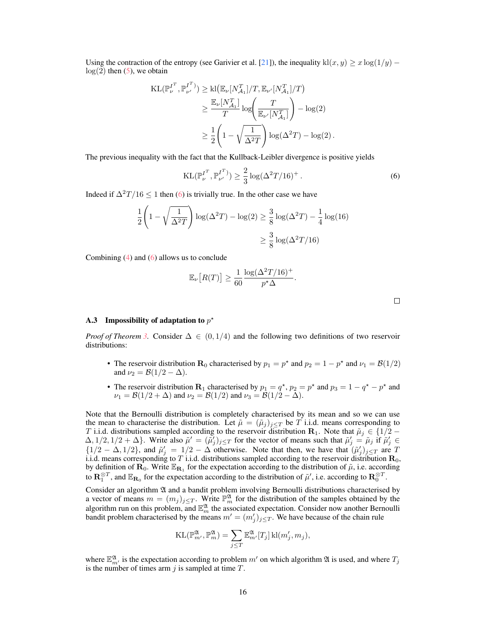Using the contraction of the entropy (see Garivier et al. [\[21\]](#page-10-7)), the inequality kl(x, y)  $> x \log(1/y)$  $log(2)$  then [\(5\)](#page-14-1), we obtain

$$
\begin{split} \mathrm{KL}(\mathbb{P}_{\nu}^{I^T}, \mathbb{P}_{\nu'}^{I^T}) &\geq \mathrm{kl}\big(\mathbb{E}_{\nu}[N_{\mathcal{A}_1}^T]/T, \mathbb{E}_{\nu'}[N_{\mathcal{A}_1}^T]/T\big) \\ &\geq \frac{\mathbb{E}_{\nu}[N_{\mathcal{A}_1}^T]}{T} \log\bigg(\frac{T}{\mathbb{E}_{\nu'}[N_{\mathcal{A}_1}^T]}\bigg) - \log(2) \\ &\geq \frac{1}{2} \bigg(1 - \sqrt{\frac{1}{\Delta^2 T}}\bigg) \log(\Delta^2 T) - \log(2) \, . \end{split}
$$

The previous inequality with the fact that the Kullback-Leibler divergence is positive yields

$$
KL(\mathbb{P}_{\nu}^{I^T}, \mathbb{P}_{\nu'}^{I^T}) \ge \frac{2}{3} \log(\Delta^2 T / 16)^+.
$$
 (6)

.

Indeed if  $\Delta^2 T/16 \leq 1$  then [\(6\)](#page-15-0) is trivially true. In the other case we have

$$
\frac{1}{2} \left( 1 - \sqrt{\frac{1}{\Delta^2 T}} \right) \log(\Delta^2 T) - \log(2) \ge \frac{3}{8} \log(\Delta^2 T) - \frac{1}{4} \log(16) \ge \frac{3}{8} \log(\Delta^2 T / 16)
$$

Combining [\(4\)](#page-14-2) and [\(6\)](#page-15-0) allows us to conclude

$$
\mathbb{E}_{\nu}\left[R(T)\right] \ge \frac{1}{60} \frac{\log(\Delta^2 T/16)^+}{p^{\star} \Delta}
$$

<span id="page-15-0"></span>

# A.3 Impossibility of adaptation to  $p^*$

*Proof of Theorem [3.](#page-7-3)* Consider  $\Delta \in (0, 1/4)$  and the following two definitions of two reservoir distributions:

- The reservoir distribution  $\mathbf{R}_0$  characterised by  $p_1 = p^*$  and  $p_2 = 1 p^*$  and  $\nu_1 = \mathcal{B}(1/2)$ and  $\nu_2 = \mathcal{B}(1/2 - \Delta)$ .
- The reservoir distribution  $\mathbf{R}_1$  characterised by  $p_1 = q^*$ ,  $p_2 = p^*$  and  $p_3 = 1 q^* p^*$  and  $\nu_1 = \mathcal{B}(1/2 + \Delta)$  and  $\nu_2 = \mathcal{B}(1/2)$  and  $\nu_3 = \mathcal{B}(1/2 - \Delta)$ .

Note that the Bernoulli distribution is completely characterised by its mean and so we can use the mean to characterise the distribution. Let  $\tilde{\mu} = (\tilde{\mu}_j)_{j \leq T}$  be T i.i.d. means corresponding to T i.i.d. distributions sampled according to the reservoir distribution  $\mathbf{R}_1$ . Note that  $\tilde{\mu}_j \in \{1/2 - \ell\}$  $(\Delta, 1/2, 1/2 + \Delta)$ . Write also  $\tilde{\mu}' = (\tilde{\mu}'_j)_{j \leq T}$  for the vector of means such that  $\tilde{\mu}'_j = \tilde{\mu}_j$  if  $\tilde{\mu}'_j \in$  $\{1/2 - \Delta, 1/2\}$ , and  $\tilde{\mu}'_j = 1/2 - \Delta$  otherwise. Note that then, we have that  $(\tilde{\mu}'_j)_{j \leq T}$  are T i.i.d. means corresponding to  $T$  i.i.d. distributions sampled according to the reservoir distribution  $\mathbf{R}_0$ , by definition of  $\mathbf{R}_0$ . Write  $\mathbb{E}_{\mathbf{R}_1}$  for the expectation according to the distribution of  $\tilde{\mu}$ , i.e. according to  $\mathbf{R}^{\otimes T}_1$ , and  $\mathbb{E}_{\mathbf{R}_0}$  for the expectation according to the distribution of  $\tilde{\mu}'$ , i.e. according to  $\mathbf{R}^{\otimes T}_0$ .

Consider an algorithm  $\mathfrak A$  and a bandit problem involving Bernoulli distributions characterised by a vector of means  $m = (m_j)_{j \le T}$ . Write  $\mathbb{P}_m^{\mathfrak{A}}$  for the distribution of the samples obtained by the algorithm run on this problem, and  $\mathbb{E}_m^{\mathfrak{A}}$  the associated expectation. Consider now another Bernoulli bandit problem characterised by the means  $m' = (m'_j)_{j \leq T}$ . We have because of the chain rule

$$
\mathrm{KL}(\mathbb{P}^{\mathfrak{A}}_{m'}, \mathbb{P}^{\mathfrak{A}}_{m}) = \sum_{j \leq T} \mathbb{E}^{\mathfrak{A}}_{m'}[T_j] \, \mathrm{kl}(m'_j, m_j),
$$

where  $\mathbb{E}_{m'}^{\mathfrak{A}}$  is the expectation according to problem m' on which algorithm  $\mathfrak{A}$  is used, and where  $T_j$ is the number of times arm  $j$  is sampled at time  $T$ .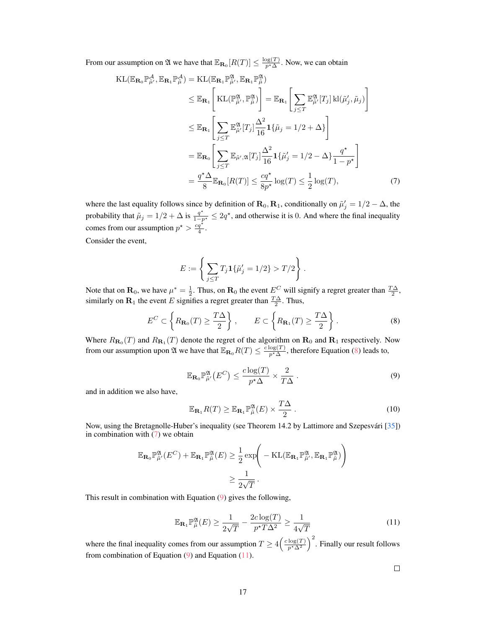From our assumption on  $\mathfrak A$  we have that  $\mathbb E_{\mathbf{R}_0}[R(T)] \leq \frac{\log(T)}{p^*\Delta}$ . Now, we can obtain

$$
\begin{split} \mathrm{KL}(\mathbb{E}_{\mathbf{R}_{0}} \mathbb{P}_{\tilde{\mu}}^{\mathcal{A}}, \mathbb{E}_{\mathbf{R}_{1}} \mathbb{P}_{\tilde{\mu}}^{\mathcal{A}}) &= \mathrm{KL}(\mathbb{E}_{\mathbf{R}_{1}} \mathbb{P}_{\tilde{\mu}}^{\mathcal{A}}, \mathbb{E}_{\mathbf{R}_{1}} \mathbb{P}_{\tilde{\mu}}^{\mathcal{A}}) \\ &\leq \mathbb{E}_{\mathbf{R}_{1}} \Bigg[ \mathrm{KL}(\mathbb{P}_{\tilde{\mu}}^{\mathcal{A}}, \mathbb{P}_{\tilde{\mu}}^{\mathcal{A}}) \Bigg] = \mathbb{E}_{\mathbf{R}_{1}} \Bigg[ \sum_{j \leq T} \mathbb{E}_{\tilde{\mu}}^{\mathcal{A}} [T_{j}] \, \mathrm{kl}(\tilde{\mu}_{j}', \tilde{\mu}_{j}) \Bigg] \\ &\leq \mathbb{E}_{\mathbf{R}_{1}} \Bigg[ \sum_{j \leq T} \mathbb{E}_{\tilde{\mu}'}^{\mathcal{A}} [T_{j}] \frac{\Delta^{2}}{16} \mathbf{1} \{\tilde{\mu}_{j} = 1/2 + \Delta\} \Bigg] \\ &= \mathbb{E}_{\mathbf{R}_{0}} \Bigg[ \sum_{j \leq T} \mathbb{E}_{\tilde{\mu}', \mathcal{A}} [T_{j}] \frac{\Delta^{2}}{16} \mathbf{1} \{\tilde{\mu}_{j}' = 1/2 - \Delta\} \frac{q^{\star}}{1 - p^{\star}} \Bigg] \\ &= \frac{q^{\star} \Delta}{8} \mathbb{E}_{\mathbf{R}_{0}} [R(T)] \leq \frac{cq^{\star}}{8p^{\star}} \log(T) \leq \frac{1}{2} \log(T), \end{split} \tag{7}
$$

where the last equality follows since by definition of  $\mathbf{R}_0, \mathbf{R}_1$ , conditionally on  $\tilde{\mu}'_j = 1/2 - \Delta$ , the probability that  $\tilde{\mu}_j = 1/2 + \Delta$  is  $\frac{q^*}{1-p^*} \leq 2q^*$ , and otherwise it is 0. And where the final inequality comes from our assumption  $p^* > \frac{cq^*}{4}$ .

Consider the event,

<span id="page-16-1"></span><span id="page-16-0"></span>
$$
E := \left\{ \sum_{j \leq T} T_j \mathbf{1} \{ \tilde{\mu}'_j = 1/2 \} > T/2 \right\}.
$$

Note that on  $\mathbf{R}_0$ , we have  $\mu^* = \frac{1}{2}$ . Thus, on  $\mathbf{R}_0$  the event  $E^C$  will signify a regret greater than  $\frac{T\Delta}{2}$ , similarly on  $\mathbf{R}_1$  the event E signifies a regret greater than  $\frac{T\Delta}{2}$ . Thus,

$$
E^{C} \subset \left\{ R_{\mathbf{R}_{0}}(T) \geq \frac{T\Delta}{2} \right\}, \qquad E \subset \left\{ R_{\mathbf{R}_{1}}(T) \geq \frac{T\Delta}{2} \right\}.
$$
 (8)

<span id="page-16-2"></span>Where  $R_{\mathbf{R}_0}(T)$  and  $R_{\mathbf{R}_1}(T)$  denote the regret of the algorithm on  $\mathbf{R}_0$  and  $\mathbf{R}_1$  respectively. Now from our assumption upon  $\mathfrak A$  we have that  $\mathbb E_{\mathbf R_0} R(T) \leq \frac{c \log(T)}{p^* \Delta}$ , therefore Equation [\(8\)](#page-16-0) leads to,

$$
\mathbb{E}_{\mathbf{R}_0} \mathbb{P}_{\tilde{\mu}'}^{\mathfrak{A}} \left( E^C \right) \le \frac{c \log(T)}{p^{\star} \Delta} \times \frac{2}{T\Delta} \,. \tag{9}
$$

and in addition we also have,

$$
\mathbb{E}_{\mathbf{R}_1} R(T) \ge \mathbb{E}_{\mathbf{R}_1} \mathbb{P}_{\tilde{\mu}}^{\mathfrak{A}}(E) \times \frac{T\Delta}{2} \,. \tag{10}
$$

Now, using the Bretagnolle-Huber's inequality (see Theorem 14.2 by Lattimore and Szepesvári [\[35\]](#page-11-0)) in combination with  $(7)$  we obtain

$$
\mathbb{E}_{\mathbf{R}_0} \mathbb{P}^{\mathfrak{A}}_{\tilde{\mu}'}(E^C) + \mathbb{E}_{\mathbf{R}_1} \mathbb{P}^{\mathfrak{A}}_{\tilde{\mu}}(E) \geq \frac{1}{2} \exp \bigg( -\mathrm{KL}(\mathbb{E}_{\mathbf{R}_1} \mathbb{P}^{\mathfrak{A}}_{\tilde{\mu}'}, \mathbb{E}_{\mathbf{R}_1} \mathbb{P}^{\mathfrak{A}}_{\tilde{\mu}}) \bigg) \geq \frac{1}{2\sqrt{T}}.
$$

<span id="page-16-3"></span>This result in combination with Equation [\(9\)](#page-16-2) gives the following,

$$
\mathbb{E}_{\mathbf{R}_1} \mathbb{P}_{\tilde{\mu}}^{\mathfrak{A}}(E) \ge \frac{1}{2\sqrt{T}} - \frac{2c \log(T)}{p^{\star} T \Delta^2} \ge \frac{1}{4\sqrt{T}} \tag{11}
$$

where the final inequality comes from our assumption  $T \ge 4 \left(\frac{c \log(T)}{p^* \Delta^2}\right)^2$ . Finally our result follows from combination of Equation  $(9)$  and Equation  $(11)$ .

 $\Box$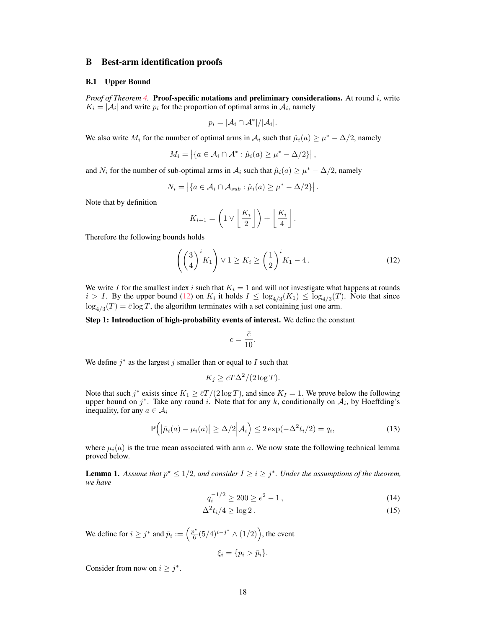### <span id="page-17-0"></span>B Best-arm identification proofs

#### B.1 Upper Bound

*Proof of Theorem [4.](#page-7-1)* Proof-specific notations and preliminary considerations. At round i, write  $K_i = |\mathcal{A}_i|$  and write  $p_i$  for the proportion of optimal arms in  $\mathcal{A}_i$ , namely

$$
p_i = |\mathcal{A}_i \cap \mathcal{A}^*| / |\mathcal{A}_i|.
$$

We also write  $M_i$  for the number of optimal arms in  $A_i$  such that  $\hat{\mu}_i(a) \geq \mu^* - \Delta/2$ , namely

$$
M_i = \left| \{ a \in \mathcal{A}_i \cap \mathcal{A}^* : \hat{\mu}_i(a) \geq \mu^* - \Delta/2 \} \right|,
$$

and  $N_i$  for the number of sub-optimal arms in  $A_i$  such that  $\hat{\mu}_i(a) \geq \mu^* - \Delta/2$ , namely

$$
N_i = \left| \{ a \in \mathcal{A}_i \cap \mathcal{A}_{sub} : \hat{\mu}_i(a) \ge \mu^* - \Delta/2 \} \right|.
$$

Note that by definition

<span id="page-17-1"></span>
$$
K_{i+1} = \left(1 \vee \left\lfloor \frac{K_i}{2} \right\rfloor\right) + \left\lfloor \frac{K_i}{4} \right\rfloor.
$$

Therefore the following bounds holds

$$
\left(\left(\frac{3}{4}\right)^i K_1\right) \vee 1 \ge K_i \ge \left(\frac{1}{2}\right)^i K_1 - 4. \tag{12}
$$

We write I for the smallest index i such that  $K_i = 1$  and will not investigate what happens at rounds  $i > I$ . By the upper bound [\(12\)](#page-17-1) on  $K_i$  it holds  $I \leq \log_{4/3}(K_1) \leq \log_{4/3}(T)$ . Note that since  $\log_{4/3}(T) = \bar{c} \log T$ , the algorithm terminates with a set containing just one arm.

#### Step 1: Introduction of high-probability events of interest. We define the constant

$$
c = \frac{\bar{c}}{10}.
$$

We define  $j^*$  as the largest  $j$  smaller than or equal to  $I$  such that

$$
K_j \ge cT\Delta^2/(2\log T).
$$

Note that such  $j^*$  exists since  $K_1 \ge \frac{\bar{c}T}{2 \log T}$ , and since  $K_I = 1$ . We prove below the following upper bound on  $j^*$ . Take any round i. Note that for any k, conditionally on  $A_i$ , by Hoeffding's inequality, for any  $a \in A_i$ 

<span id="page-17-2"></span>
$$
\mathbb{P}\left(|\hat{\mu}_i(a) - \mu_i(a)| \ge \Delta/2 \middle| \mathcal{A}_i\right) \le 2 \exp(-\Delta^2 t_i/2) = q_i,
$$
\n(13)

where  $\mu_i(a)$  is the true mean associated with arm a. We now state the following technical lemma proved below.

<span id="page-17-3"></span>**Lemma 1.** Assume that  $p^* \leq 1/2$ , and consider  $I \geq i \geq j^*$ . Under the assumptions of the theorem, *we have*

$$
q_i^{-1/2} \ge 200 \ge e^2 - 1,\tag{14}
$$

$$
\Delta^2 t_i / 4 \ge \log 2 \,. \tag{15}
$$

We define for  $i \geq j^*$  and  $\bar{p}_i := \left(\frac{p^*}{6}\right)$  $\frac{\rho^*}{6}(5/4)^{i-j^*} \wedge (1/2)$ , the event

<span id="page-17-5"></span><span id="page-17-4"></span>
$$
\xi_i = \{p_i > \bar{p}_i\}.
$$

Consider from now on  $i \geq j^*$ .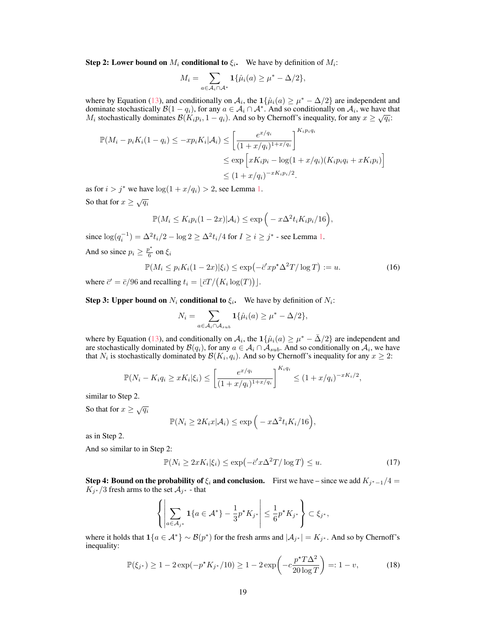**Step 2:** Lower bound on  $M_i$  conditional to  $\xi_i$ . We have by definition of  $M_i$ :

$$
M_i = \sum_{a \in \mathcal{A}_i \cap \mathcal{A}^*} \mathbf{1}\{\hat{\mu}_i(a) \ge \mu^* - \Delta/2\},\
$$

where by Equation [\(13\)](#page-17-2), and conditionally on  $A_i$ , the  $1\{\hat{\mu}_i(a) \geq \mu^* - \Delta/2\}$  are independent and dominate stochastically  $\mathcal{B}(1-q_i)$ , for any  $a \in \mathcal{A}_i \cap \mathcal{A}^*$ . And so conditionally on  $\mathcal{A}_i$ , we have that dominate stochastically  $\mathcal{B}(1-q_i)$ , for any  $a \in \mathcal{A}_i \cap \mathcal{A}$ . And so conditionally on  $\mathcal{A}_i$ , we have the  $M_i$  stochastically dominates  $\mathcal{B}(K_i p_i, 1 - q_i)$ . And so by Chernoff's inequality, for any  $x \ge \sqrt{q_i}$ .

$$
\mathbb{P}(M_i - p_i K_i (1 - q_i) \le -xp_i K_i | \mathcal{A}_i) \le \left[ \frac{e^{x/q_i}}{(1 + x/q_i)^{1 + x/q_i}} \right]^{K_i p_i q_i}
$$
  

$$
\le \exp \left[ x K_i p_i - \log(1 + x/q_i) (K_i p_i q_i + x K_i p_i) \right]
$$
  

$$
\le (1 + x/q_i)^{-xK_i p_i/2}.
$$

as for  $i > j^*$  we have  $\log(1 + x/q_i) > 2$ , see Lemma [1.](#page-17-3)

So that for  $x \geq \sqrt{q_i}$ 

$$
\mathbb{P}(M_i \le K_i p_i (1 - 2x) | \mathcal{A}_i) \le \exp\left(-x\Delta^2 t_i K_i p_i / 16\right),
$$

since  $\log(q_i^{-1}) = \Delta^2 t_i/2 - \log 2 \ge \Delta^2 t_i/4$  for  $I \ge i \ge j^*$  - see Lemma [1.](#page-17-3) And so since  $p_i \geq \frac{p^*}{6}$  $\frac{6}{6}$  on  $\xi_i$ 

<span id="page-18-0"></span>
$$
\mathbb{P}(M_i \le p_i K_i (1 - 2x) | \xi_i) \le \exp\left(-\bar{c}' x p^* \Delta^2 T / \log T\right) := u.
$$
\n(16)

where  $\bar{c}' = \bar{c}/96$  and recalling  $t_i = \lfloor \bar{c}T / (K_i \log(T)) \rfloor$ .

**Step 3: Upper bound on**  $N_i$  conditional to  $\xi_i$ . We have by definition of  $N_i$ :

$$
N_i = \sum_{a \in \mathcal{A}_i \cap \mathcal{A}_{sub}} \mathbf{1}\{\hat{\mu}_i(a) \ge \mu^* - \Delta/2\},\
$$

where by Equation [\(13\)](#page-17-2), and conditionally on  $\mathcal{A}_i$ , the  $1\{\hat{\mu}_i(a) \geq \mu^* - \bar{\Delta}/2\}$  are independent and are stochastically dominated by  $\mathcal{B}(q_i)$ , for any  $a \in \mathcal{A}_i \cap \mathcal{A}_{sub}$ . And so conditionally on  $\mathcal{A}_i$ , we have that  $N_i$  is stochastically dominated by  $\mathcal{B}(K_i, q_i)$ . And so by Chernoff's inequality for any  $x \geq 2$ :

$$
\mathbb{P}(N_i - K_i q_i \ge x K_i |\xi_i) \le \left[ \frac{e^{x/q_i}}{(1 + x/q_i)^{1 + x/q_i}} \right]^{K_i q_i} \le (1 + x/q_i)^{-xK_i/2},
$$

similar to Step 2.

So that for  $x \geq \sqrt{q_i}$ 

$$
\mathbb{P}(N_i \ge 2K_i x | \mathcal{A}_i) \le \exp\Big(-x\Delta^2 t_i K_i/16\Big),\,
$$

as in Step 2.

And so similar to in Step 2:

<span id="page-18-1"></span>
$$
\mathbb{P}(N_i \ge 2xK_i|\xi_i) \le \exp\left(-\bar{c}'x\Delta^2 T/\log T\right) \le u. \tag{17}
$$

**Step 4: Bound on the probability of**  $\xi_i$  **and conclusion.** First we have – since we add  $K_{j^*-1}/4 =$  $K_{j^*}/3$  fresh arms to the set  $\mathcal{A}_{j^*}$  - that

$$
\left\{ \left| \sum_{a \in \mathcal{A}_{j^*}} \mathbf{1} \{ a \in \mathcal{A}^* \} - \frac{1}{3} p^* K_{j^*} \right| \leq \frac{1}{6} p^* K_{j^*} \right\} \subset \xi_{j^*},
$$

where it holds that  $\mathbf{1}{a \in \mathcal{A}^*} \sim \mathcal{B}(p^*)$  for the fresh arms and  $|\mathcal{A}_{j^*}| = K_{j^*}$ . And so by Chernoff's inequality:

<span id="page-18-2"></span>
$$
\mathbb{P}(\xi_{j^*}) \ge 1 - 2\exp(-p^*K_{j^*}/10) \ge 1 - 2\exp\left(-c\frac{p^*T\Delta^2}{20\log T}\right) =: 1 - v,\tag{18}
$$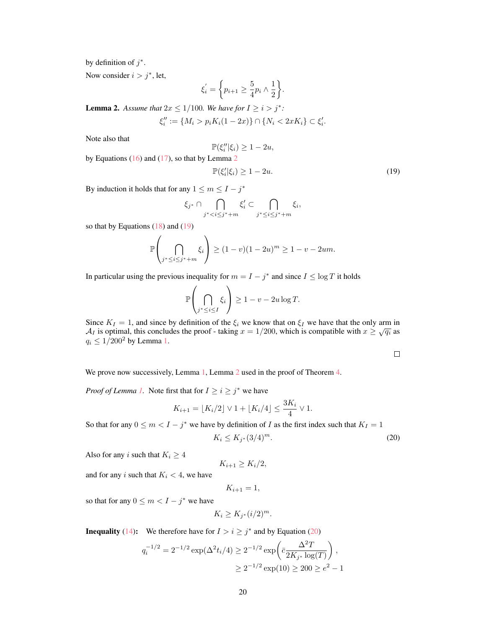by definition of  $j^*$ .

Now consider  $i > j^*$ , let,

$$
\xi_i^{'} = \bigg\{ p_{i+1} \geq \frac{5}{4} p_i \wedge \frac{1}{2} \bigg\}.
$$

<span id="page-19-0"></span>**Lemma 2.** Assume that  $2x \leq 1/100$ . We have for  $I \geq i > j^*$ :

$$
\xi''_i:=\{M_i>p_iK_i(1-2x)\}\cap\{N_i<2xK_i\}\subset\xi'_i.
$$

Note also that

$$
\mathbb{P}(\xi_i''|\xi_i) \ge 1 - 2u,
$$

by Equations  $(16)$  and  $(17)$ , so that by Lemma [2](#page-19-0)

<span id="page-19-1"></span>
$$
\mathbb{P}(\xi_i'|\xi_i) \ge 1 - 2u. \tag{19}
$$

By induction it holds that for any  $1 \le m \le I - j^*$ 

$$
\xi_{j^*} \cap \bigcap_{j^* < i \leq j^* + m} \xi'_i \subset \bigcap_{j^* \leq i \leq j^* + m} \xi_i,
$$

so that by Equations  $(18)$  and  $(19)$ 

$$
\mathbb{P}\left(\bigcap_{j^* \le i \le j^* + m} \xi_i\right) \ge (1 - v)(1 - 2u)^m \ge 1 - v - 2um.
$$

In particular using the previous inequality for  $m = I - j^*$  and since  $I \le \log T$  it holds

$$
\mathbb{P}\left(\bigcap_{j^* \le i \le I} \xi_i\right) \ge 1 - v - 2u \log T.
$$

Since  $K_I = 1$ , and since by definition of the  $\xi_i$  we know that on  $\xi_I$  we have that the only arm in Since  $K_I = 1$ , and since by definition of the  $\zeta_i$  we know that on  $\zeta_I$  we have that the only affile in  $\mathcal{A}_I$  is optimal, this concludes the proof - taking  $x = 1/200$ , which is compatible with  $x \ge \sqrt{q_i}$  as  $q_i \leq 1/200^2$  by Lemma [1.](#page-17-3)

<span id="page-19-2"></span>

We prove now successively, Lemma [1,](#page-17-3) Lemma [2](#page-19-0) used in the proof of Theorem [4.](#page-7-1)

*Proof of Lemma [1.](#page-17-3)* Note first that for  $I \geq i \geq j^*$  we have

$$
K_{i+1} = \lfloor K_i/2 \rfloor \vee 1 + \lfloor K_i/4 \rfloor \le \frac{3K_i}{4} \vee 1.
$$

So that for any  $0 \le m < I - j^*$  we have by definition of I as the first index such that  $K_I = 1$ 

$$
K_i \le K_{j^*} (3/4)^m. \tag{20}
$$

Also for any i such that  $K_i \geq 4$ 

$$
K_{i+1} \ge K_i/2,
$$

and for any i such that  $K_i < 4$ , we have

$$
K_{i+1}=1,
$$

so that for any  $0 \le m < I - j^*$  we have

$$
K_i \ge K_{j^*}(i/2)^m.
$$

**Inequality** [\(14\)](#page-17-4): We therefore have for  $I > i \geq j^*$  and by Equation [\(20\)](#page-19-2)

$$
q_i^{-1/2} = 2^{-1/2} \exp(\Delta^2 t_i/4) \ge 2^{-1/2} \exp\left(\bar{c} \frac{\Delta^2 T}{2K_{j^*} \log(T)}\right),
$$
  

$$
\ge 2^{-1/2} \exp(10) \ge 200 \ge e^2 - 1
$$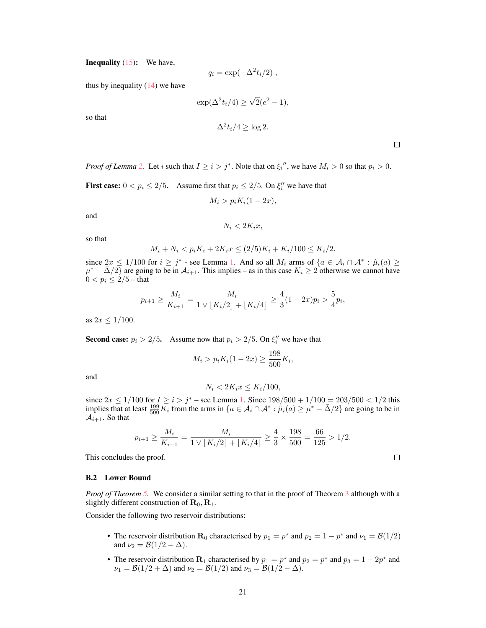**Inequality** [\(15\)](#page-17-5): We have,

$$
q_i = \exp(-\Delta^2 t_i/2) ,
$$

thus by inequality  $(14)$  we have

$$
\exp(\Delta^2 t_i/4) \ge \sqrt{2}(e^2 - 1),
$$

so that

$$
\Delta^2 t_i/4 \ge \log 2.
$$

 $\Box$ 

*Proof of Lemma [2.](#page-19-0)* Let *i* such that  $I \ge i > j^*$ . Note that on  $\xi_i''$ , we have  $M_i > 0$  so that  $p_i > 0$ .

**First case:**  $0 < p_i \le 2/5$ . Assume first that  $p_i \le 2/5$ . On  $\xi_i''$  we have that

$$
M_i > p_i K_i (1 - 2x),
$$

and

$$
N_i < 2K_ix
$$

so that

$$
M_i + N_i < p_i K_i + 2K_i x \le (2/5)K_i + K_i/100 \le K_i/2.
$$

since  $2x \le 1/100$  for  $i \ge j^*$  - see Lemma [1.](#page-17-3) And so all  $M_i$  arms of  $\{a \in A_i \cap A^* : \hat{\mu}_i(a) \ge 1\}$  $\mu^* - \bar{\Delta}/2$  are going to be in  $\mathcal{A}_{i+1}$ . This implies – as in this case  $K_i \ge 2$  otherwise we cannot have  $0 < p_i \leq 2/5$  – that

$$
p_{i+1} \ge \frac{M_i}{K_{i+1}} = \frac{M_i}{1 \vee \lfloor K_i/2 \rfloor + \lfloor K_i/4 \rfloor} \ge \frac{4}{3} (1 - 2x) p_i > \frac{5}{4} p_i,
$$

as  $2x \leq 1/100$ .

**Second case:**  $p_i > 2/5$ . Assume now that  $p_i > 2/5$ . On  $\xi_i''$  we have that

$$
M_i > p_i K_i (1 - 2x) \ge \frac{198}{500} K_i,
$$

and

$$
N_i < 2K_i x \le K_i / 100,
$$

since  $2x \le 1/100$  for  $I \ge i > j^*$  – see Lemma [1.](#page-17-3) Since  $198/500 + 1/100 = 203/500 < 1/2$  this implies that at least  $\frac{199}{500}\overline{K}_i$  from the arms in  $\{a \in A_i \cap A^* : \hat{\mu}_i(a) \ge \mu^* - \overline{\Delta}/2\}$  are going to be in  $A_{i+1}$ . So that

$$
p_{i+1} \ge \frac{M_i}{K_{i+1}} = \frac{M_i}{1 \vee \lfloor K_i/2 \rfloor + \lfloor K_i/4 \rfloor} \ge \frac{4}{3} \times \frac{198}{500} = \frac{66}{125} > 1/2.
$$

This concludes the proof.

#### B.2 Lower Bound

*Proof of Theorem [5.](#page-8-1)* We consider a similar setting to that in the proof of Theorem [3](#page-7-3) although with a slightly different construction of  $\mathbf{R}_0$ ,  $\mathbf{R}_1$ .

Consider the following two reservoir distributions:

- The reservoir distribution  $\mathbf{R}_0$  characterised by  $p_1 = p^*$  and  $p_2 = 1 p^*$  and  $\nu_1 = \mathcal{B}(1/2)$ and  $\nu_2 = \mathcal{B}(1/2 - \Delta)$ .
- The reservoir distribution  $\mathbf{R}_1$  characterised by  $p_1 = p^*$  and  $p_2 = p^*$  and  $p_3 = 1 2p^*$  and  $\nu_1 = \mathcal{B}(1/2 + \Delta)$  and  $\nu_2 = \mathcal{B}(1/2)$  and  $\nu_3 = \mathcal{B}(1/2 - \Delta)$ .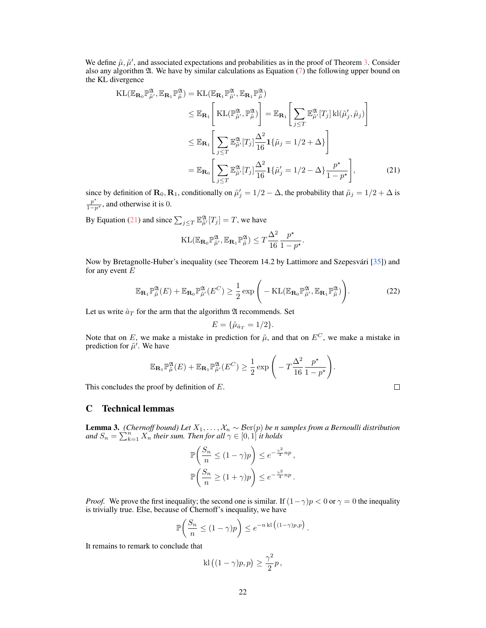We define  $\tilde{\mu}, \tilde{\mu}'$ , and associated expectations and probabilities as in the proof of Theorem [3.](#page-7-3) Consider also any algorithm  $\mathfrak{A}$ . We have by similar calculations as Equation [\(7\)](#page-16-1) the following upper bound on the KL divergence

$$
\begin{split} \mathrm{KL}(\mathbb{E}_{\mathbf{R}_{0}}\mathbb{P}_{\tilde{\mu}}^{\mathfrak{A}},\mathbb{E}_{\mathbf{R}_{1}}\mathbb{P}_{\tilde{\mu}}^{\mathfrak{A}}) &= \mathrm{KL}(\mathbb{E}_{\mathbf{R}_{1}}\mathbb{P}_{\tilde{\mu}}^{\mathfrak{A}},\mathbb{E}_{\mathbf{R}_{1}}\mathbb{P}_{\tilde{\mu}}^{\mathfrak{A}}) \\ &\leq \mathbb{E}_{\mathbf{R}_{1}}\Bigg[\mathrm{KL}(\mathbb{P}_{\tilde{\mu}}^{\mathfrak{A}},\mathbb{P}_{\tilde{\mu}}^{\mathfrak{A}})\Bigg] = \mathbb{E}_{\mathbf{R}_{1}}\Bigg[\sum_{j\leq T} \mathbb{E}_{\tilde{\mu}'}^{\mathfrak{A}}[T_{j}] \,\mathrm{kl}(\tilde{\mu}_{j}',\tilde{\mu}_{j})\Bigg] \\ &\leq \mathbb{E}_{\mathbf{R}_{1}}\Bigg[\sum_{j\leq T} \mathbb{E}_{\tilde{\mu}'}^{\mathfrak{A}}[T_{j}] \frac{\Delta^{2}}{16} \mathbf{1}\{\tilde{\mu}_{j} = 1/2 + \Delta\}\Bigg] \\ &= \mathbb{E}_{\mathbf{R}_{0}}\Bigg[\sum_{j\leq T} \mathbb{E}_{\tilde{\mu}'}^{\mathfrak{A}}[T_{j}] \frac{\Delta^{2}}{16} \mathbf{1}\{\tilde{\mu}_{j}' = 1/2 - \Delta\} \frac{p^{\star}}{1 - p^{\star}}\Bigg],\end{split} \tag{21}
$$

since by definition of  $\mathbf{R}_0$ ,  $\mathbf{R}_1$ , conditionally on  $\tilde{\mu}'_j = 1/2 - \Delta$ , the probability that  $\tilde{\mu}_j = 1/2 + \Delta$  is  $\frac{p^*}{1-p^*}$ , and otherwise it is 0.

By Equation [\(21\)](#page-21-1) and since  $\sum_{j \leq T} \mathbb{E}_{\tilde{\mu}'}^{\mathfrak{A}}[T_j] = T$ , we have

$$
\mathrm{KL}(\mathbb{E}_{\mathbf{R}_0} \mathbb{P}^{\mathfrak{A}}_{\tilde{\mu}'}, \mathbb{E}_{\mathbf{R}_1} \mathbb{P}^{\mathfrak{A}}_{\tilde{\mu}}) \leq T \frac{\Delta^2}{16} \frac{p^{\star}}{1 - p^{\star}}.
$$

Now by Bretagnolle-Huber's inequality (see Theorem 14.2 by Lattimore and Szepesvári [\[35\]](#page-11-0)) and for any event  $E$ 

$$
\mathbb{E}_{\mathbf{R}_1} \mathbb{P}_{\tilde{\mu}}^{\mathfrak{A}}(E) + \mathbb{E}_{\mathbf{R}_0} \mathbb{P}_{\tilde{\mu}'}^{\mathfrak{A}}(E^C) \ge \frac{1}{2} \exp\left(-\mathrm{KL}(\mathbb{E}_{\mathbf{R}_0} \mathbb{P}_{\tilde{\mu}}^{\mathfrak{A}}, \mathbb{E}_{\mathbf{R}_1} \mathbb{P}_{\tilde{\mu}}^{\mathfrak{A}})\right).
$$
 (22)

<span id="page-21-1"></span> $\ddot{\phantom{1}}$ 

Let us write  $\hat{a}_T$  for the arm that the algorithm  $\mathfrak A$  recommends. Set

$$
E = {\tilde{\mu}_{\hat{a}_T} = 1/2}.
$$

Note that on E, we make a mistake in prediction for  $\tilde{\mu}$ , and that on  $E^C$ , we make a mistake in prediction for  $\tilde{\mu}'$ . We have

$$
\mathbb{E}_{\mathbf{R}_1} \mathbb{P}_{\tilde{\mu}}^{\mathfrak{A}}(E) + \mathbb{E}_{\mathbf{R}_1} \mathbb{P}_{\tilde{\mu}'}^{\mathfrak{A}}(E^C) \geq \frac{1}{2} \exp \left( -T \frac{\Delta^2}{16} \frac{p^*}{1-p^*} \right).
$$

This concludes the proof by definition of E.

## C Technical lemmas

<span id="page-21-0"></span>**Lemma 3.** *(Chernoff bound) Let*  $X_1, \ldots, X_n \sim \mathcal{B}\mathrm{er}(p)$  *be n samples from a Bernoulli distribution* and  $S_n = \sum_{k=1}^n X_n^{\sigma}$  *their sum. Then for all*  $\gamma \in [0,1]$  *it holds* 

$$
\mathbb{P}\left(\frac{S_n}{n} \le (1-\gamma)p\right) \le e^{-\frac{\gamma^2}{4}np},
$$
  

$$
\mathbb{P}\left(\frac{S_n}{n} \ge (1+\gamma)p\right) \le e^{-\frac{\gamma^2}{4}np}.
$$

*Proof.* We prove the first inequality; the second one is similar. If  $(1 - \gamma)p < 0$  or  $\gamma = 0$  the inequality is trivially true. Else, because of Chernoff's inequality, we have

$$
\mathbb{P}\bigg(\frac{S_n}{n} \le (1-\gamma)p\bigg) \le e^{-n \, \mathrm{kl}\big((1-\gamma)p, p\big)}.
$$

It remains to remark to conclude that

$$
kl((1 - \gamma)p, p) \ge \frac{\gamma^2}{2}p,
$$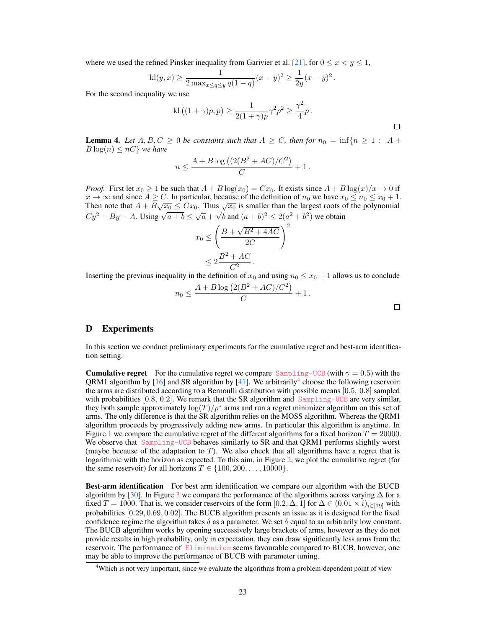where we used the refined Pinsker inequality from Garivier et al. [\[21\]](#page-10-7), for  $0 \le x \le y \le 1$ ,

$$
kl(y, x) \ge \frac{1}{2 \max_{x \le q \le y} q(1-q)} (x-y)^2 \ge \frac{1}{2y} (x-y)^2
$$

For the second inequality we use

$$
kl((1+\gamma)p,p) \ge \frac{1}{2(1+\gamma)p}\gamma^2p^2 \ge \frac{\gamma^2}{4}p.
$$

.

<span id="page-22-1"></span>**Lemma 4.** Let  $A, B, C \ge 0$  be constants such that  $A \ge C$ , then for  $n_0 = \inf\{n \ge 1 : A +$  $B \log(n) \leq nC$  *we have* 

$$
n \le \frac{A + B \log \left( \frac{2(B^2 + AC)}{C} \right)}{C} + 1.
$$

*Proof.* First let  $x_0 \ge 1$  be such that  $A + B \log(x_0) = Cx_0$ . It exists since  $A + B \log(x)/x \to 0$  if  $x \to \infty$  and since  $A \ge C$ . In particular, because of the definition of  $n_0$  we have  $x_0 \le n_0 \le x_0 + 1$ .  $x \to \infty$  and since  $A \geq C$ . In particular, because of the definition of  $n_0$  we have  $x_0 \leq n_0 \leq x_0 + 1$ <br>Then note that  $A + B\sqrt{x_0} \leq Cx_0$ . Thus  $\sqrt{x_0}$  is smaller than the largest roots of the polynomial Then note that  $A + D\sqrt{x_0} \leq Cx_0$ . Thus  $\sqrt{x_0}$  is smaller than the largest roots of  $Cy^2 - By - A$ . Using  $\sqrt{a+b} \leq \sqrt{a} + \sqrt{b}$  and  $(a+b)^2 \leq 2(a^2 + b^2)$  we obtain

$$
x_0 \le \left(\frac{B + \sqrt{B^2 + 4AC}}{2C}\right)^2
$$
  

$$
\le 2\frac{B^2 + AC}{C^2}.
$$

Inserting the previous inequality in the definition of  $x_0$  and using  $n_0 \le x_0 + 1$  allows us to conclude

$$
n_0 \le \frac{A + B \log (2(B^2 + AC)/C^2)}{C} + 1.
$$

#### $\Box$

 $\Box$ 

## <span id="page-22-0"></span>D Experiments

In this section we conduct preliminary experiments for the cumulative regret and best-arm identification setting.

**Cumulative regret** For the cumulative regret we compare [Sampling-UCB](#page-6-3) (with  $\gamma = 0.5$ ) with the QRM1 algorithm by  $[16]$  and SR algorithm by  $[41]$ . We arbitrarily<sup>[4](#page-22-2)</sup> choose the following reservoir: the arms are distributed according to a Bernoulli distribution with possible means [0.5, 0.8] sampled with probabilities  $[0.8, 0.2]$ . We remark that the SR algorithm and  $Sampling$ –UCB are very similar, they both sample approximately  $\log(T)/p^*$  arms and run a regret minimizer algorithm on this set of arms. The only difference is that the SR algorithm relies on the MOSS algorithm. Whereas the QRM1 algorithm proceeds by progressively adding new arms. In particular this algorithm is anytime. In Figure [1](#page-23-0) we compare the cumulative regret of the different algorithms for a fixed horizon  $T = 20000$ . We observe that [Sampling-UCB](#page-6-3) behaves similarly to SR and that QRM1 performs slightly worst (maybe because of the adaptation to T). We also check that all algorithms have a regret that is logarithmic with the horizon as expected. To this aim, in Figure [2,](#page-23-1) we plot the cumulative regret (for the same reservoir) for all horizons  $T \in \{100, 200, \ldots, 10000\}.$ 

Best-arm identification For best arm identification we compare our algorithm with the BUCB algorithm by [\[30\]](#page-10-10). In Figure [3](#page-24-0) we compare the performance of the algorithms across varying  $\Delta$  for a fixed  $T = 1000$ . That is, we consider reservoirs of the form  $[0.2, \Delta, 1]$  for  $\Delta \in (0.01 \times i)_{i \in [79]}$  with probabilities [0.29, 0.69, 0.02]. The BUCB algorithm presents an issue as it is designed for the fixed confidence regime the algorithm takes  $\delta$  as a parameter. We set  $\delta$  equal to an arbitrarily low constant. The BUCB algorithm works by opening successively large brackets of arms, however as they do not provide results in high probability, only in expectation, they can draw significantly less arms from the reservoir. The performance of [Elimination](#page-7-2) seems favourable compared to BUCB, however, one may be able to improve the performance of BUCB with parameter tuning.

<span id="page-22-2"></span><sup>&</sup>lt;sup>4</sup>Which is not very important, since we evaluate the algorithms from a problem-dependent point of view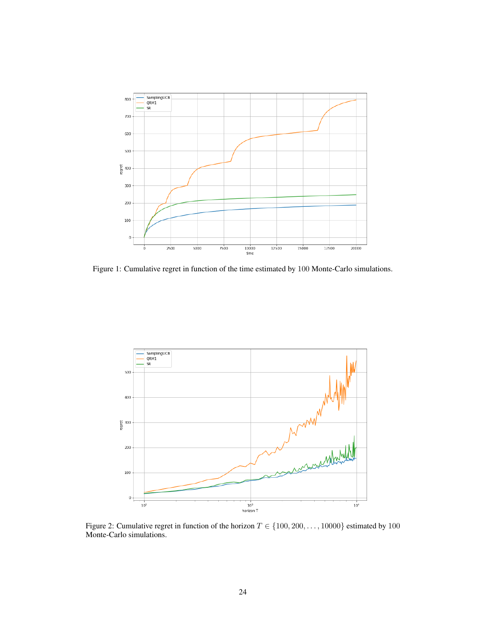

<span id="page-23-0"></span>Figure 1: Cumulative regret in function of the time estimated by 100 Monte-Carlo simulations.



<span id="page-23-1"></span>Figure 2: Cumulative regret in function of the horizon  $T \in \{100, 200, \ldots, 10000\}$  estimated by 100 Monte-Carlo simulations.